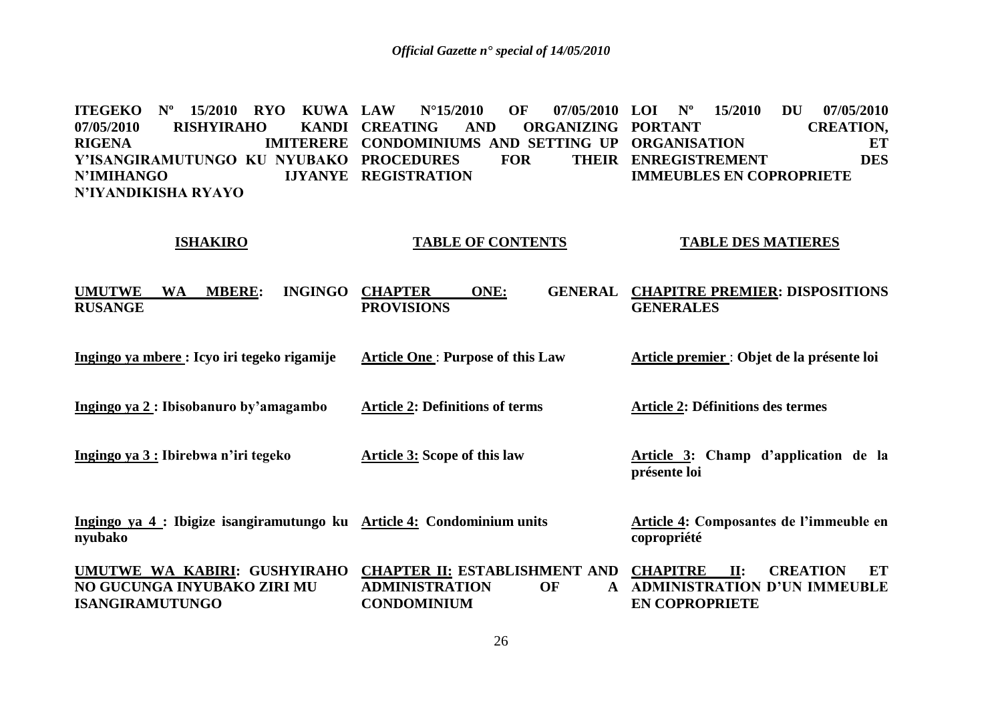**ITEGEKO Nº 15/2010 RYO KUWA LAW** 07/05/2010 RISHYIRAHO KANDI CREATING **RIGENA IMITERERE CONDOMINIUMS AND SETTING UP ORGANISATION ET Y'ISANGIRAMUTUNGO KU NYUBAKO PROCEDURES FOR THEIR N'IMIHANGO N'IYANDIKISHA RYAYO LAW N°15/2010 OF 07/05/2010 LOI Nº 15/2010 DU 07/05/2010 AND ORGANIZING PORTANT LIYANYE REGISTRATION CREATION, ENREGISTREMENT DES IMMEUBLES EN COPROPRIETE**

#### **ISHAKIRO TABLE OF CONTENTS TABLE DES MATIERES**

**UMUTWE WA MBERE: INGINGO RUSANGE Ingingo ya mbere : Icyo iri tegeko rigamije Ingingo ya 2 : Ibisobanuro by'amagambo Ingingo ya 3 : Ibirebwa n'iri tegeko Ingingo ya 4 : Ibigize isangiramutungo ku Article 4: Condominium units nyubako UMUTWE WA KABIRI: GUSHYIRAHO NO GUCUNGA INYUBAKO ZIRI MU ISANGIRAMUTUNGO CHAPTER ONE: GENERAL CHAPITRE PREMIER: DISPOSITIONS PROVISIONS Article One** : **Purpose of this Law Article 2: Definitions of terms Article 3: Scope of this law CHAPTER II: ESTABLISHMENT AND CHAPITRE II: CREATION ET**  ADMINISTRATION OF **CONDOMINIUM GENERALES Article premier** : **Objet de la présente loi Article 2: Définitions des termes Article 3: Champ d'application de la présente loi Article 4: Composantes de l'immeuble en copropriété ADMINISTRATION D'UN IMMEUBLE EN COPROPRIETE**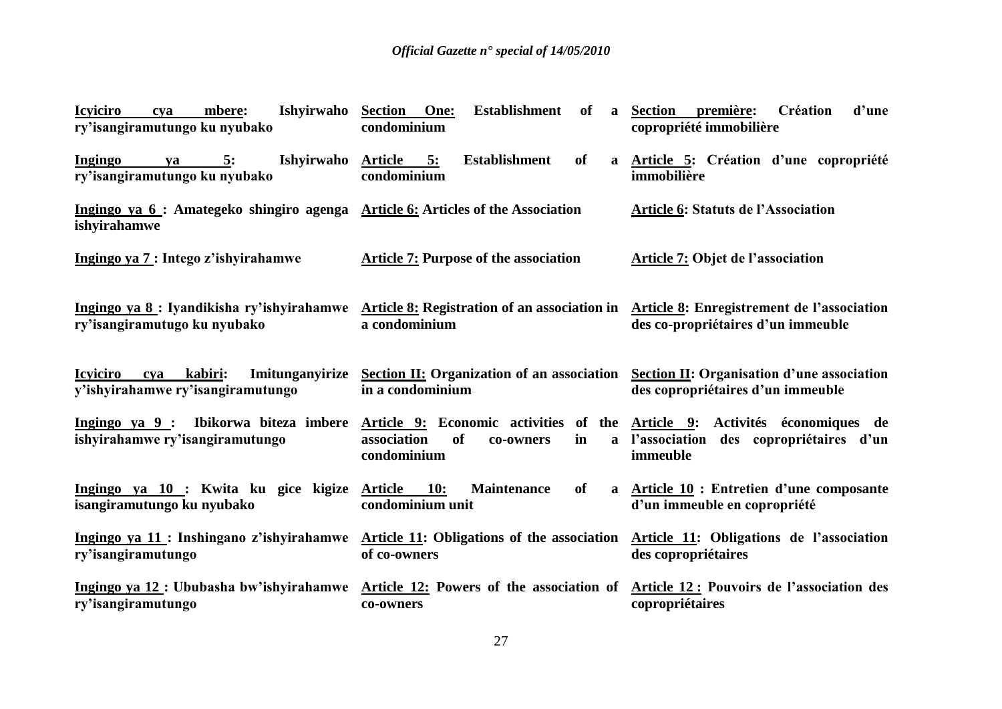| Ishyirwaho<br><b>Icyiciro</b><br>mbere:<br>cya<br>ry'isangiramutungo ku nyubako                                                                                   | <b>Section</b> One:<br><b>Establishment</b><br>of<br>$\mathbf{a}$<br>condominium                          | <b>Section</b><br>Création<br>d'une<br>première:<br>copropriété immobilière    |
|-------------------------------------------------------------------------------------------------------------------------------------------------------------------|-----------------------------------------------------------------------------------------------------------|--------------------------------------------------------------------------------|
| Ingingo<br>Ishyirwaho<br>5:<br>ya<br>ry'isangiramutungo ku nyubako                                                                                                | <b>Establishment</b><br>of<br>Article 5:<br>a<br>condominium                                              | Article 5: Création d'une copropriété<br>immobilière                           |
| Ingingo ya 6 : Amategeko shingiro agenga Article 6: Articles of the Association<br>ishyirahamwe                                                                   |                                                                                                           | <b>Article 6: Statuts de l'Association</b>                                     |
| Ingingo ya 7 : Intego z'ishyirahamwe                                                                                                                              | <b>Article 7: Purpose of the association</b>                                                              | Article 7: Objet de l'association                                              |
| Ingingo ya 8: Iyandikisha ry'ishyirahamwe Article 8: Registration of an association in Article 8: Enregistrement de l'association<br>ry'isangiramutugo ku nyubako | a condominium                                                                                             | des co-propriétaires d'un immeuble                                             |
| Imitunganyirize<br><b>Icyiciro</b><br>kabiri:<br>cya<br>y'ishyirahamwe ry'isangiramutungo                                                                         | Section II: Organization of an association Section II: Organisation d'une association<br>in a condominium | des copropriétaires d'un immeuble                                              |
| Ingingo ya 9 : Ibikorwa biteza imbere Article 9: Economic activities of the Article 9: Activités économiques de<br>ishyirahamwe ry'isangiramutungo                | association<br><sub>of</sub><br>in<br>co-owners<br>$\mathbf{a}$<br>condominium                            | l'association des copropriétaires d'un<br>immeuble                             |
| Ingingo ya 10 : Kwita ku gice kigize<br>isangiramutungo ku nyubako                                                                                                | Maintenance<br><b>Article</b><br><b>10:</b><br>of<br>a<br>condominium unit                                | <b>Article 10 : Entretien d'une composante</b><br>d'un immeuble en copropriété |
| Ingingo ya $11$ : Inshingano z'ishyirahamwe Article 11: Obligations of the association<br>ry'isangiramutungo                                                      | of co-owners                                                                                              | Article 11: Obligations de l'association<br>des copropriétaires                |
| Ingingo ya 12: Ububasha bw'ishyirahamwe Article 12: Powers of the association of<br>ry'isangiramutungo                                                            | co-owners                                                                                                 | Article 12 : Pouvoirs de l'association des<br>copropriétaires                  |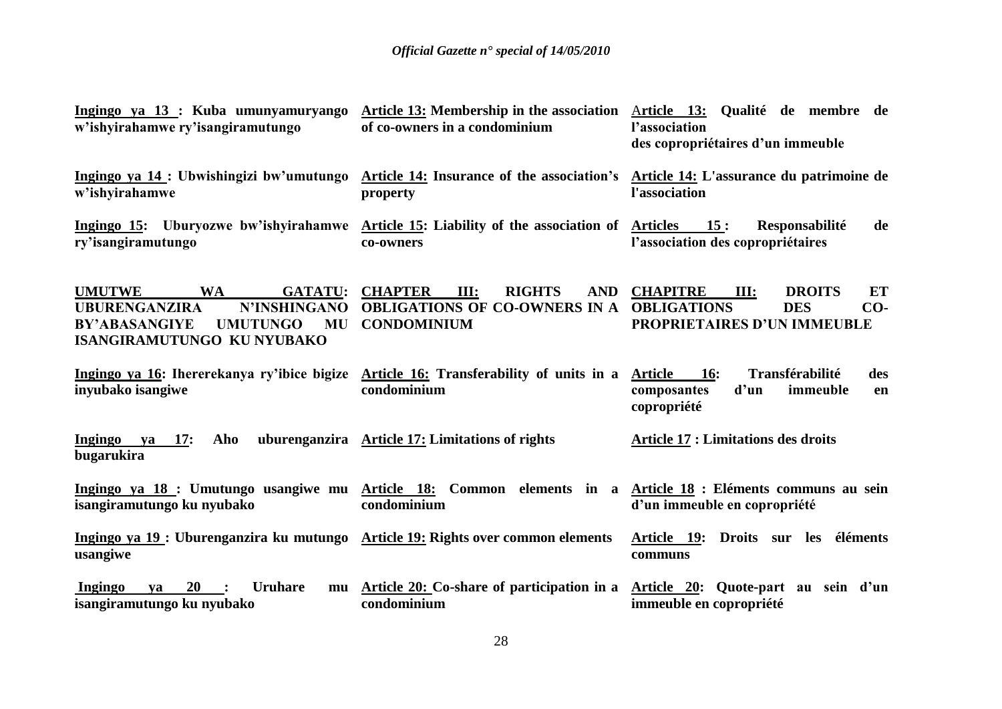| Ingingo ya 13 : Kuba umunyamuryango<br>w'ishyirahamwe ry'isangiramutungo                                                                                                          | <b>Article 13:</b> Membership in the association<br>of co-owners in a condominium                                   | Article 13: Qualité de membre de<br>l'association<br>des copropriétaires d'un immeuble                                            |
|-----------------------------------------------------------------------------------------------------------------------------------------------------------------------------------|---------------------------------------------------------------------------------------------------------------------|-----------------------------------------------------------------------------------------------------------------------------------|
| Ingingo ya 14 : Ubwishingizi bw'umutungo Article 14: Insurance of the association's Article 14: L'assurance du patrimoine de<br>w'ishyirahamwe                                    | property                                                                                                            | l'association                                                                                                                     |
| Ingingo 15: Uburyozwe bw'ishyirahamwe Article 15: Liability of the association of Articles 15:<br>ry'isangiramutungo                                                              | co-owners                                                                                                           | Responsabilité<br>de<br>l'association des copropriétaires                                                                         |
| <b>UMUTWE</b><br><b>WA</b><br><b>GATATU:</b><br>N'INSHINGANO<br><b>UBURENGANZIRA</b><br><b>UMUTUNGO</b><br><b>MU</b><br><b>BY'ABASANGIYE</b><br><b>ISANGIRAMUTUNGO KU NYUBAKO</b> | <b>CHAPTER</b><br><b>RIGHTS</b><br>III:<br><b>AND</b><br><b>OBLIGATIONS OF CO-OWNERS IN A</b><br><b>CONDOMINIUM</b> | <b>CHAPITRE</b><br>III:<br><b>DROITS</b><br>ET<br><b>OBLIGATIONS</b><br><b>DES</b><br>$CO-$<br><b>PROPRIETAIRES D'UN IMMEUBLE</b> |
| Ingingo ya 16: Ihererekanya ry'ibice bigize Article 16: Transferability of units in a<br>inyubako isangiwe                                                                        | condominium                                                                                                         | Transférabilité<br><b>Article</b><br><b>16:</b><br>des<br>d'un<br>immeuble<br>composantes<br>en<br>copropriété                    |
| <b>Ingingo</b><br>Aho<br>$va = 17$ :<br>bugarukira                                                                                                                                | uburenganzira Article 17: Limitations of rights                                                                     | <b>Article 17 : Limitations des droits</b>                                                                                        |
| Ingingo ya 18 : Umutungo usangiwe mu Article 18: Common elements in a Article 18 : Eléments communs au sein<br>isangiramutungo ku nyubako                                         | condominium                                                                                                         | d'un immeuble en copropriété                                                                                                      |
| Ingingo ya 19 : Uburenganzira ku mutungo Article 19: Rights over common elements<br>usangiwe                                                                                      |                                                                                                                     | Article 19: Droits sur les éléments<br>communs                                                                                    |
| 20<br>Ingingo<br><b>Uruhare</b><br>va<br>mu<br>isangiramutungo ku nyubako                                                                                                         | Article 20: Co-share of participation in a<br>condominium                                                           | Article 20: Quote-part au sein d'un<br>immeuble en copropriété                                                                    |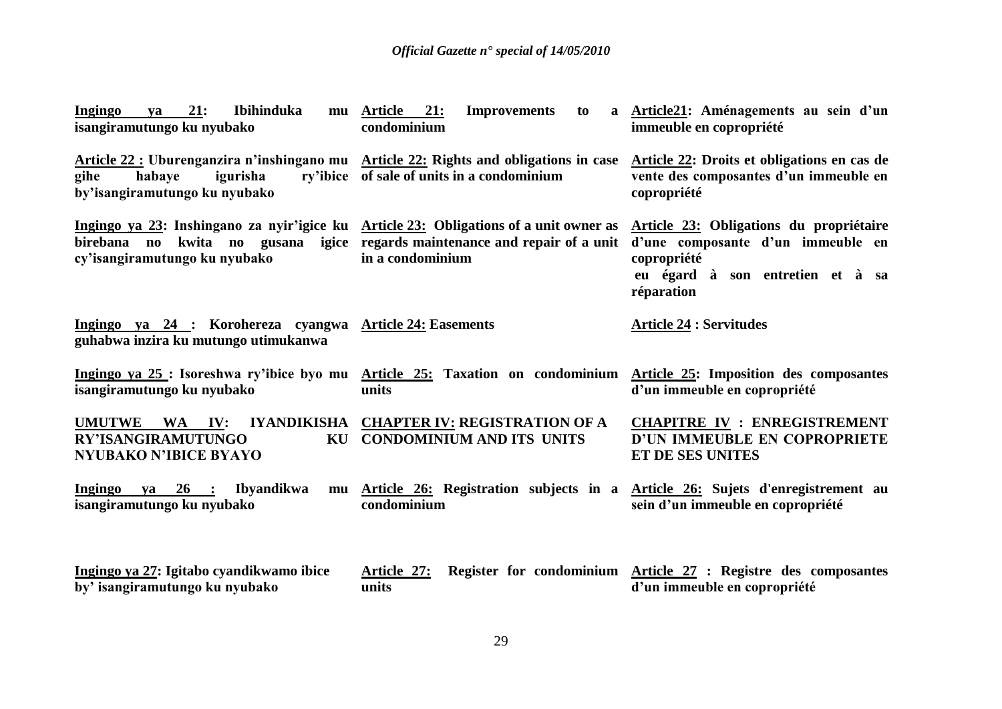| 21:<br>Ibihinduka<br>Ingingo<br>ya<br>isangiramutungo ku nyubako                                                                                                                                     | mu Article 21:<br><b>Improvements</b><br>to<br>condominium                                      | a Article21: Aménagements au sein d'un<br>immeuble en copropriété                                                                             |
|------------------------------------------------------------------------------------------------------------------------------------------------------------------------------------------------------|-------------------------------------------------------------------------------------------------|-----------------------------------------------------------------------------------------------------------------------------------------------|
| Article 22 : Uburenganzira n'inshingano mu Article 22: Rights and obligations in case<br>gihe<br>igurisha<br>habaye<br>by'isangiramutungo ku nyubako                                                 | ry'ibice of sale of units in a condominium                                                      | Article 22: Droits et obligations en cas de<br>vente des composantes d'un immeuble en<br>copropriété                                          |
| Ingingo ya 23: Inshingano za nyir'igice ku Article 23: Obligations of a unit owner as<br>birebana no kwita no gusana igice regards maintenance and repair of a unit<br>cy'isangiramutungo ku nyubako | in a condominium                                                                                | Article 23: Obligations du propriétaire<br>d'une composante d'un immeuble en<br>copropriété<br>eu égard à son entretien et à sa<br>réparation |
| Ingingo ya 24 : Korohereza cyangwa Article 24: Easements<br>guhabwa inzira ku mutungo utimukanwa                                                                                                     |                                                                                                 | <b>Article 24 : Servitudes</b>                                                                                                                |
| Ingingo ya 25 : Isoreshwa ry'ibice byo mu Article 25: Taxation on condominium<br>isangiramutungo ku nyubako                                                                                          | units                                                                                           | Article 25: Imposition des composantes<br>d'un immeuble en copropriété                                                                        |
| UMUTWE WA IV:<br><b>RY'ISANGIRAMUTUNGO</b><br>KU<br><b>NYUBAKO N'IBICE BYAYO</b>                                                                                                                     | IYANDIKISHA CHAPTER IV: REGISTRATION OF A<br><b>CONDOMINIUM AND ITS UNITS</b>                   | <b>CHAPITRE IV : ENREGISTREMENT</b><br>D'UN IMMEUBLE EN COPROPRIETE<br>ET DE SES UNITES                                                       |
| ya 26 : Ibyandikwa<br>Ingingo<br>isangiramutungo ku nyubako                                                                                                                                          | mu Article 26: Registration subjects in a Article 26: Sujets d'enregistrement au<br>condominium | sein d'un immeuble en copropriété                                                                                                             |
| Ingingo ya 27: Igitabo cyandikwamo ibice<br>by' isangiramutungo ku nyubako                                                                                                                           | Article 27:<br>units                                                                            | Register for condominium Article 27 : Registre des composantes<br>d'un immeuble en copropriété                                                |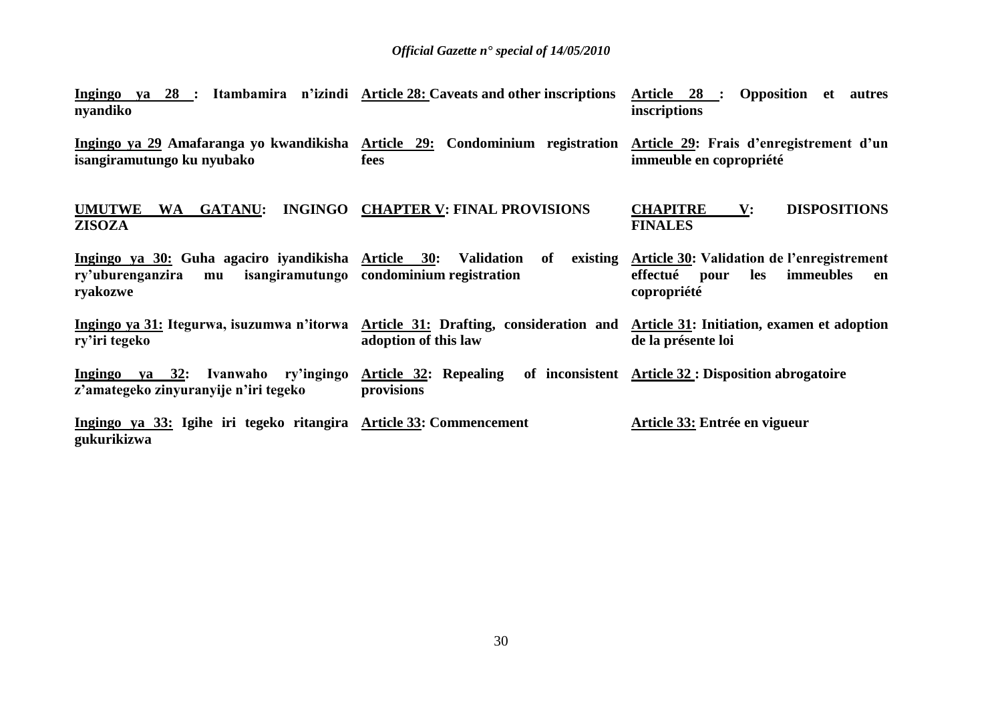| Ingingo ya 28 : Itambamira n'izindi Article 28: Caveats and other inscriptions<br>nyandiko                                                         |                                                | Article 28 : Opposition et autres<br>inscriptions                                                                |
|----------------------------------------------------------------------------------------------------------------------------------------------------|------------------------------------------------|------------------------------------------------------------------------------------------------------------------|
| Ingingo ya 29 Amafaranga yo kwandikisha Article 29: Condominium registration Article 29: Frais d'enregistrement d'un<br>isangiramutungo ku nyubako | fees                                           | immeuble en copropriété                                                                                          |
| <b>UMUTWE</b><br><b>GATANU:</b><br><b>WA</b><br><b>ZISOZA</b>                                                                                      | INGINGO CHAPTER V: FINAL PROVISIONS            | <b>DISPOSITIONS</b><br><b>CHAPITRE</b><br>$\mathbf{V}$ :<br><b>FINALES</b>                                       |
| Ingingo ya 30: Guha agaciro iyandikisha Article 30: Validation<br>ry'uburenganzira<br>mu<br>ryakozwe                                               | of<br>isangiramutungo condominium registration | existing Article 30: Validation de l'enregistrement<br>effectué<br>immeubles<br>les<br>pour<br>en<br>copropriété |
| Ingingo ya 31: Itegurwa, isuzumwa n'itorwa Article 31: Drafting, consideration and Article 31: Initiation, examen et adoption<br>ry'iri tegeko     | adoption of this law                           | de la présente loi                                                                                               |
| Ingingo ya 32: Ivanwaho ry'ingingo Article 32: Repealing<br>z'amategeko zinyuranyije n'iri tegeko                                                  | provisions                                     | of inconsistent Article 32 : Disposition abrogatoire                                                             |
| Ingingo ya 33: Igihe iri tegeko ritangira Article 33: Commencement<br>gukurikizwa                                                                  |                                                | Article 33: Entrée en vigueur                                                                                    |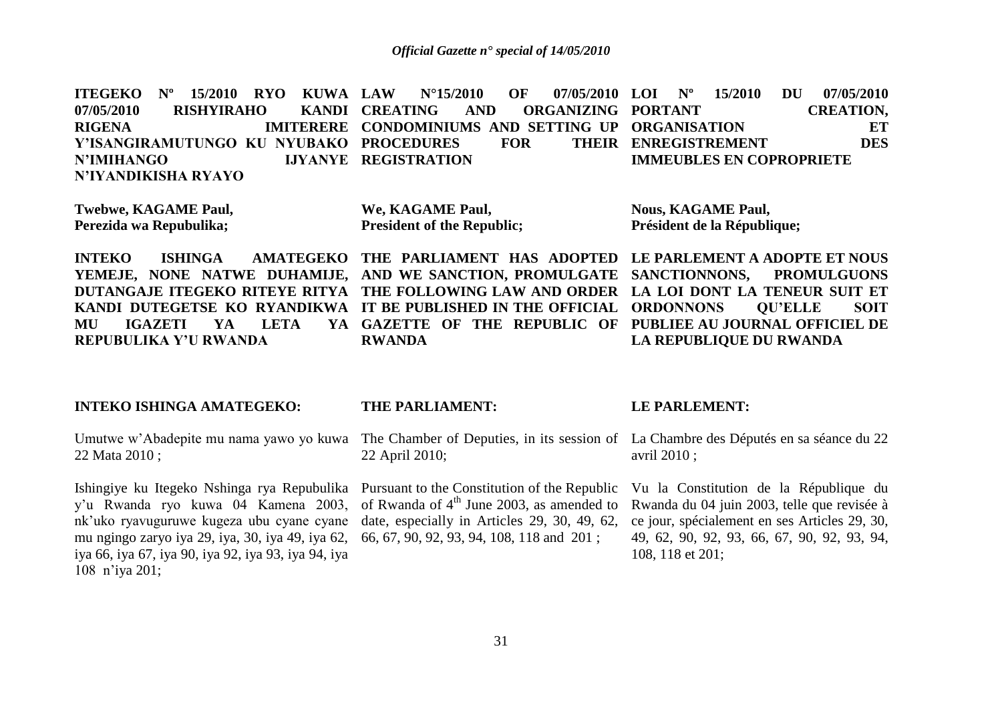**ITEGEKO Nº 15/2010 RYO KUWA**  07/05/2010 RISHYIRAHO KANDI CREATING **RIGENA IMITERERE CONDOMINIUMS AND SETTING UP ORGANISATION ET Y'ISANGIRAMUTUNGO KU NYUBAKO PROCEDURES FOR THEIR N'IMIHANGO N'IYANDIKISHA RYAYO LAW N°15/2010 OF 07/05/2010 AND ORGANIZING PORTANT LIYANYE REGISTRATION LOI Nº 15/2010 DU 07/05/2010 CREATION, ENREGISTREMENT DES IMMEUBLES EN COPROPRIETE**

**Twebwe, KAGAME Paul, Perezida wa Repubulika;**

**We, KAGAME Paul, President of the Republic;**

**Nous, KAGAME Paul, Président de la République;**

**INTEKO ISHINGA AMATEGEKO THE PARLIAMENT HAS ADOPTED LE PARLEMENT A ADOPTE ET NOUS** YEMEJE, NONE NATWE DUHAMIJE, AND WE SANCTION, PROMULGATE SANCTIONNONS, PROMULGUONS **DUTANGAJE ITEGEKO RITEYE RITYA THE FOLLOWING LAW AND ORDER LA LOI DONT LA TENEUR SUIT ET KANDI DUTEGETSE KO RYANDIKWA IT BE PUBLISHED IN THE OFFICIAL ORDONNONS QU'ELLE SOIT MU IGAZETI YA LETA YA REPUBULIKA Y'U RWANDA GAZETTE OF THE REPUBLIC OF PUBLIEE AU JOURNAL OFFICIEL DE RWANDA LA REPUBLIQUE DU RWANDA**

### **INTEKO ISHINGA AMATEGEKO:**

Umutwe w'Abadepite mu nama yawo yo kuwa 22 Mata 2010 ;

Ishingiye ku Itegeko Nshinga rya Repubulika y'u Rwanda ryo kuwa 04 Kamena 2003, nk'uko ryavuguruwe kugeza ubu cyane cyane mu ngingo zaryo iya 29, iya, 30, iya 49, iya 62, iya 66, iya 67, iya 90, iya 92, iya 93, iya 94, iya 108 n'iya 201;

### **THE PARLIAMENT:**

The Chamber of Deputies, in its session of La Chambre des Députés en sa séance du 22 22 April 2010;

Pursuant to the Constitution of the Republic of Rwanda of  $4<sup>th</sup>$  June 2003, as amended to date, especially in Articles 29, 30, 49, 62, 66, 67, 90, 92, 93, 94, 108, 118 and 201 ;

#### **LE PARLEMENT:**

avril 2010 ;

Vu la Constitution de la République du Rwanda du 04 juin 2003, telle que revisée à ce jour, spécialement en ses Articles 29, 30, 49, 62, 90, 92, 93, 66, 67, 90, 92, 93, 94, 108, 118 et 201;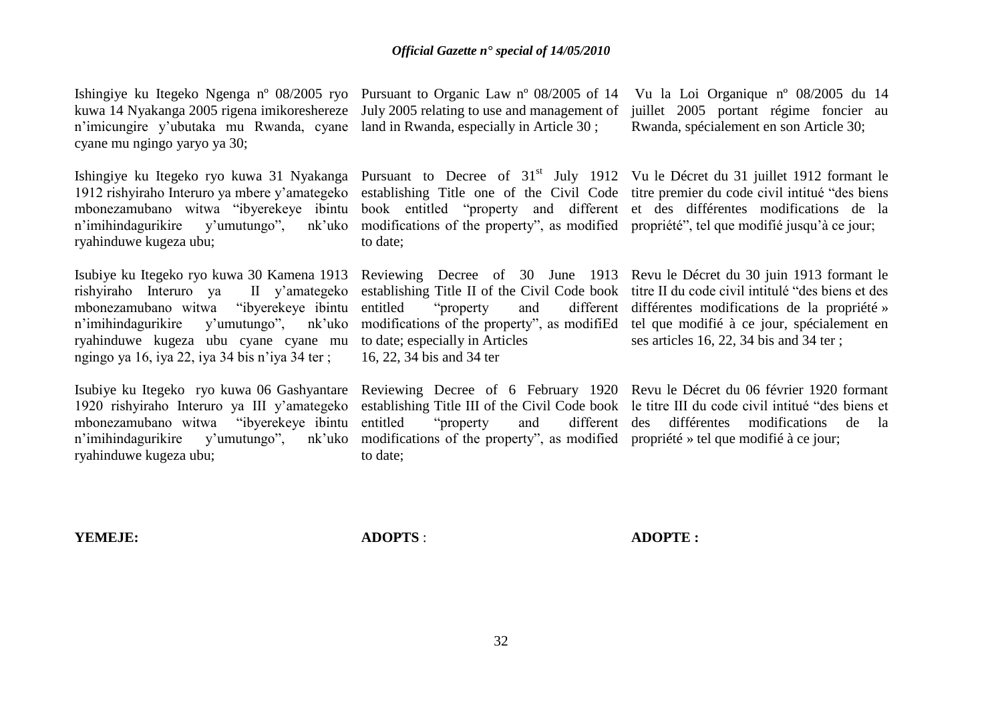Ishingiye ku Itegeko Ngenga nº 08/2005 ryo Pursuant to Organic Law nº 08/2005 of 14 Vu la Loi Organique nº 08/2005 du 14 n'imicungire y'ubutaka mu Rwanda, cyane land in Rwanda, especially in Article 30 ; cyane mu ngingo yaryo ya 30;

1912 rishyiraho Interuro ya mbere y'amategeko establishing Title one of the Civil Code titre premier du code civil intitué "des biens mbonezamubano witwa "ibyerekeye ibintu book entitled "property and different et des différentes modifications de la n'imihindagurikire y'umutungo", ryahinduwe kugeza ubu;

Isubiye ku Itegeko ryo kuwa 30 Kamena 1913 Reviewing Decree of 30 June 1913 Revu le Décret du 30 juin 1913 formant le rishyiraho Interuro ya II y'amategeko mbonezamubano witwa "ibyerekeye ibintu n'imihindagurikire y'umutungo", nk'uko ryahinduwe kugeza ubu cyane cyane mu to date; especially in Articles ngingo ya 16, iya 22, iya 34 bis n'iya 34 ter ;

1920 rishyiraho Interuro ya III y'amategeko mbonezamubano witwa "ibyerekeye ibintu n'imihindagurikire y'umutungo", nk'uko ryahinduwe kugeza ubu;

kuwa 14 Nyakanga 2005 rigena imikoreshereze July 2005 relating to use and management of juillet 2005 portant régime foncier au

modifications of the property", as modified propriété", tel que modifié jusqu'à ce jour; to date;

16, 22, 34 bis and 34 ter

Isubiye ku Itegeko ryo kuwa 06 Gashyantare Reviewing Decree of 6 February 1920 Revu le Décret du 06 février 1920 formant establishing Title III of the Civil Code book le titre III du code civil intitué "des biens et entitled "property and modifications of the property", as modified propriété » tel que modifié à ce jour; to date;

Rwanda, spécialement en son Article 30;

Ishingiye ku Itegeko ryo kuwa 31 Nyakanga Pursuant to Decree of 31<sup>st</sup> July 1912 Vu le Décret du 31 juillet 1912 formant le

establishing Title II of the Civil Code book titre II du code civil intitulé "des biens et des entitled "property and different différentes modifications de la propriété » modifications of the property", as modifiEd tel que modifié à ce jour, spécialement en ses articles 16, 22, 34 bis and 34 ter ;

different des différentes modifications de la

**YEMEJE:**

**ADOPTS** :

**ADOPTE :**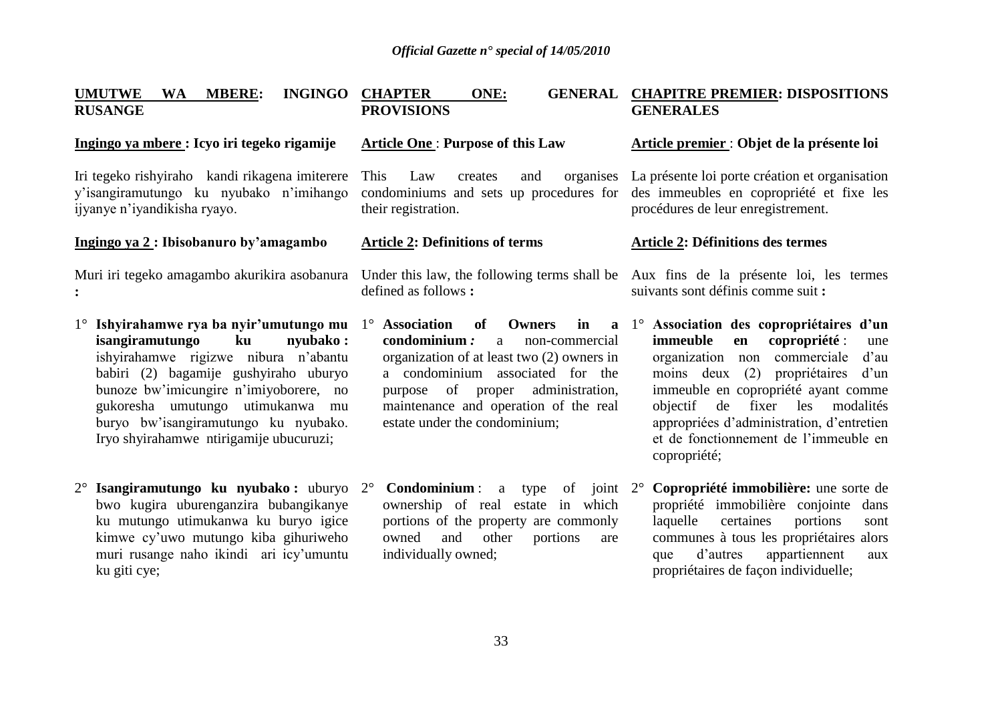#### **UMUTWE WA MBERE: INGINGO RUSANGE CHAPTER ONE: GENERAL CHAPITRE PREMIER: DISPOSITIONS PROVISIONS**

### **Ingingo ya mbere : Icyo iri tegeko rigamije**

Iri tegeko rishyiraho kandi rikagena imiterere y'isangiramutungo ku nyubako n'imihango ijyanye n'iyandikisha ryayo.

### **Ingingo ya 2 : Ibisobanuro by'amagambo**

Muri iri tegeko amagambo akurikira asobanura Under this law, the following terms shall be Aux fins de la présente loi, les termes **:**

- 1° **Ishyirahamwe rya ba nyir'umutungo mu isangiramutungo ku nyubako :**  ishyirahamwe rigizwe nibura n'abantu babiri (2) bagamije gushyiraho uburyo bunoze bw'imicungire n'imiyoborere, no gukoresha umutungo utimukanwa mu buryo bw'isangiramutungo ku nyubako. Iryo shyirahamwe ntirigamije ubucuruzi;
- 2° **Isangiramutungo ku nyubako :** uburyo bwo kugira uburenganzira bubangikanye ku mutungo utimukanwa ku buryo igice kimwe cy'uwo mutungo kiba gihuriweho muri rusange naho ikindi ari icy'umuntu ku giti cye;

### **Article One** : **Purpose of this Law**

This Law creates and organises La présente loi porte création et organisation their registration.

### **Article 2: Definitions of terms**

defined as follows **:**

- 1<sup>°</sup> Association of Owners in **condominium** *:* a non-commercial organization of at least two (2) owners in a condominium associated for the purpose of proper administration, maintenance and operation of the real estate under the condominium;
	- **Condominium**: a type of joint 2° ownership of real estate in which portions of the property are commonly owned and other portions are individually owned;

## **GENERALES**

### **Article premier** : **Objet de la présente loi**

condominiums and sets up procedures for des immeubles en copropriété et fixe les procédures de leur enregistrement.

### **Article 2: Définitions des termes**

suivants sont définis comme suit **:**

- 1° **Association des copropriétaires d'un immeuble en copropriété** : une organization non commerciale d'au moins deux (2) propriétaires d'un immeuble en copropriété ayant comme objectif de fixer les modalités appropriées d'administration, d'entretien et de fonctionnement de l'immeuble en copropriété;
	- 2° **Copropriété immobilière:** une sorte de propriété immobilière conjointe dans laquelle certaines portions sont communes à tous les propriétaires alors que d'autres appartiennent aux propriétaires de façon individuelle;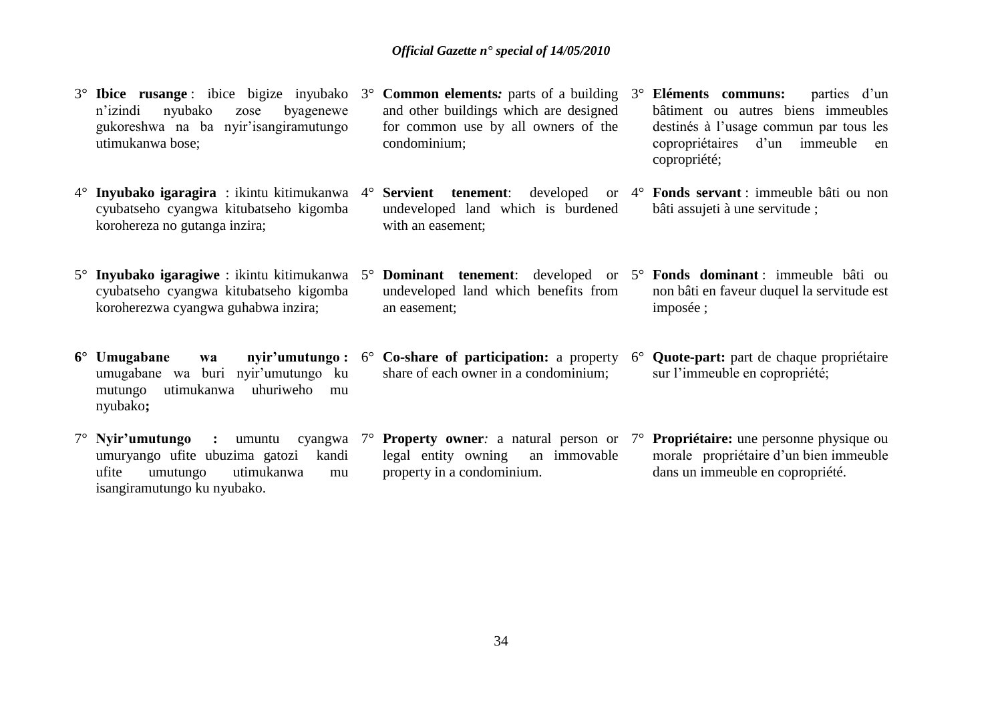3° **Ibice rusange** : ibice bigize inyubako n'izindi nyubako zose byagenewe gukoreshwa na ba nyir'isangiramutungo utimukanwa bose; 3° **Common elements***:* parts of a building 3° **Eléments communs:** parties d'un and other buildings which are designed for common use by all owners of the condominium;

with an easement;

an easement;

- 4° **Inyubako igaragira** : ikintu kitimukanwa cyubatseho cyangwa kitubatseho kigomba korohereza no gutanga inzira;
- cyubatseho cyangwa kitubatseho kigomba koroherezwa cyangwa guhabwa inzira;
- **6° Umugabane wa nyir'umutungo :** umugabane wa buri nyir'umutungo ku mutungo utimukanwa uhuriweho mu nyubako**;**
- 7° **Nyir'umutungo :** umuntu cyangwa umuryango ufite ubuzima gatozi kandi ufite umutungo utimukanwa mu isangiramutungo ku nyubako. legal entity owning an immovable property in a condominium.
- bâtiment ou autres biens immeubles destinés à l'usage commun par tous les copropriétaires d'un immeuble en copropriété;
- 4° **Servient tenement**: developed or 4° **Fonds servant** : immeuble bâti ou non undeveloped land which is burdened bâti assujeti à une servitude ;
- 5° **Inyubako igaragiwe** : ikintu kitimukanwa 5° **Dominant tenement**: developed or 5° **Fonds dominant** : immeuble bâti ou undeveloped land which benefits from non bâti en faveur duquel la servitude est imposée ;
	- 6° **Co-share of participation:** a property share of each owner in a condominium; **Ouote-part:** part de chaque propriétaire sur l'immeuble en copropriété;
	- 7° **Property owner***:* a natural person or 7° **Propriétaire:** une personne physique ou morale propriétaire d'un bien immeuble dans un immeuble en copropriété.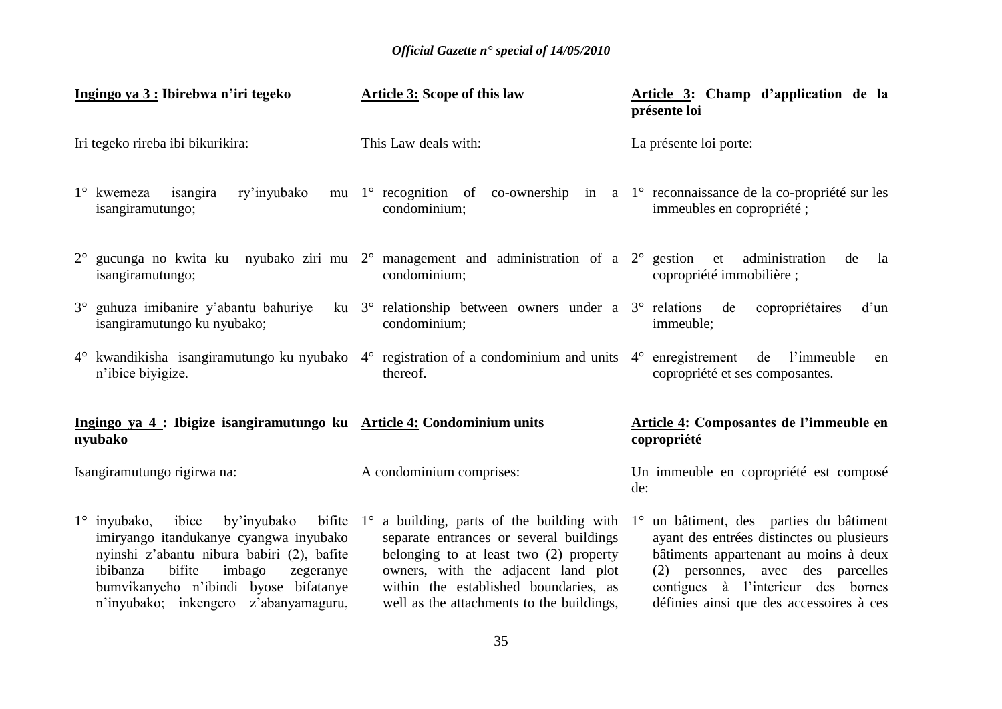| Ingingo ya 3 : Ibirebwa n'iri tegeko                                                                                                                                                                                                                                                                                           | Article 3: Scope of this law                                                                                                                                                                                   | Article 3: Champ d'application de la<br>présente loi                                                                                                                                                                                              |
|--------------------------------------------------------------------------------------------------------------------------------------------------------------------------------------------------------------------------------------------------------------------------------------------------------------------------------|----------------------------------------------------------------------------------------------------------------------------------------------------------------------------------------------------------------|---------------------------------------------------------------------------------------------------------------------------------------------------------------------------------------------------------------------------------------------------|
| Iri tegeko rireba ibi bikurikira:                                                                                                                                                                                                                                                                                              | This Law deals with:                                                                                                                                                                                           | La présente loi porte:                                                                                                                                                                                                                            |
| 1° kwemeza isangira ry'inyubako mu 1° recognition of co-ownership in a 1° reconnaissance de la co-propriété sur les<br>isangiramutungo;                                                                                                                                                                                        | condominium;                                                                                                                                                                                                   | immeubles en copropriété;                                                                                                                                                                                                                         |
| $2^{\circ}$ gucunga no kwita ku nyubako ziri mu $2^{\circ}$ management and administration of a $2^{\circ}$ gestion et administration<br>isangiramutungo;                                                                                                                                                                       | condominium;                                                                                                                                                                                                   | de<br>la<br>copropriété immobilière;                                                                                                                                                                                                              |
| 3° guhuza imibanire y'abantu bahuriye ku 3° relationship between owners under a 3° relations de copropriétaires<br>isangiramutungo ku nyubako;                                                                                                                                                                                 | condominium;                                                                                                                                                                                                   | d'un<br>immeuble;                                                                                                                                                                                                                                 |
| 4° kwandikisha isangiramutungo ku nyubako 4° registration of a condominium and units 4° enregistrement de l'immeuble<br>n'ibice bivigize.                                                                                                                                                                                      | thereof.                                                                                                                                                                                                       | en<br>copropriété et ses composantes.                                                                                                                                                                                                             |
| Ingingo ya 4 : Ibigize isangiramutungo ku Article 4: Condominium units<br>nyubako                                                                                                                                                                                                                                              |                                                                                                                                                                                                                | Article 4: Composantes de l'immeuble en<br>copropriété                                                                                                                                                                                            |
| Isangiramutungo rigirwa na:                                                                                                                                                                                                                                                                                                    | A condominium comprises:                                                                                                                                                                                       | Un immeuble en copropriété est composé<br>de:                                                                                                                                                                                                     |
| $1^\circ$ inyubako, ibice by'inyubako bifite $1^\circ$ a building, parts of the building with $1^\circ$<br>imiryango itandukanye cyangwa inyubako<br>nyinshi z'abantu nibura babiri (2), bafite<br>bifite<br>ibibanza<br>imbago<br>zegeranye<br>bumvikanyeho n'ibindi byose bifatanye<br>n'inyubako; inkengero z'abanyamaguru, | separate entrances or several buildings<br>belonging to at least two (2) property<br>owners, with the adjacent land plot<br>within the established boundaries, as<br>well as the attachments to the buildings, | un bâtiment, des parties du bâtiment<br>ayant des entrées distinctes ou plusieurs<br>bâtiments appartenant au moins à deux<br>(2) personnes, avec des parcelles<br>contigues à l'interieur des bornes<br>définies ainsi que des accessoires à ces |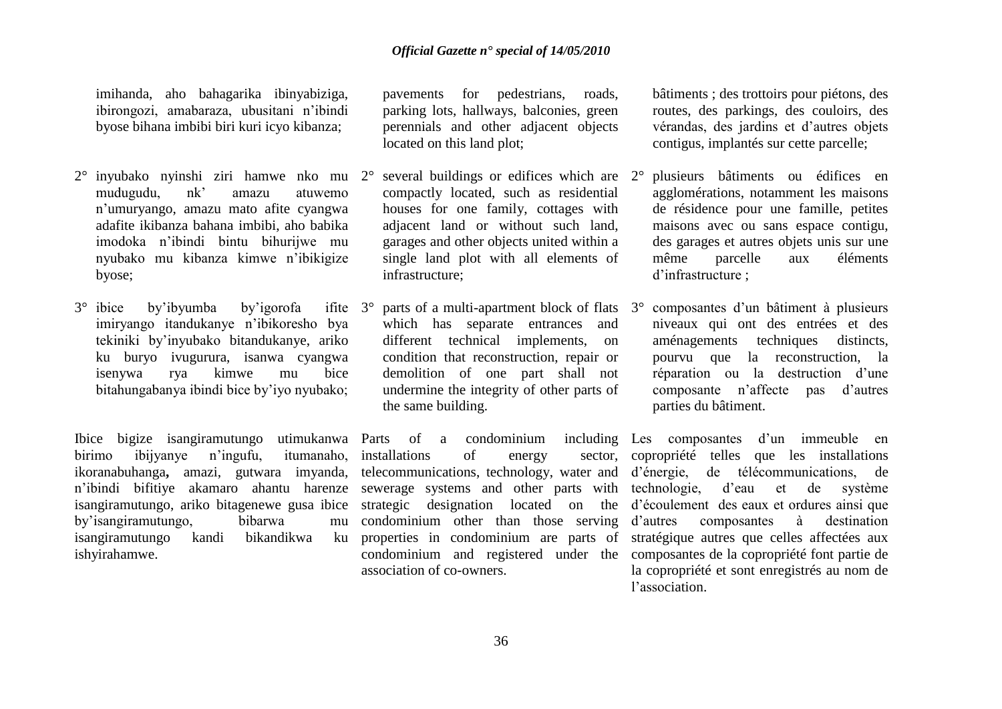imihanda, aho bahagarika ibinyabiziga, ibirongozi, amabaraza, ubusitani n'ibindi byose bihana imbibi biri kuri icyo kibanza;

- 2° inyubako nyinshi ziri hamwe nko mu mudugudu, nk' amazu atuwemo n'umuryango, amazu mato afite cyangwa adafite ikibanza bahana imbibi, aho babika imodoka n'ibindi bintu bihurijwe mu nyubako mu kibanza kimwe n'ibikigize byose;
- 3° ibice by'ibyumba by'igorofa ifite imiryango itandukanye n'ibikoresho bya tekiniki by'inyubako bitandukanye, ariko ku buryo ivugurura, isanwa cyangwa isenywa rya kimwe mu bice bitahungabanya ibindi bice by'iyo nyubako;

Ibice bigize isangiramutungo utimukanwa<br>
hirimo ibiivanve n'ingufu, itumanaho, birimo ibijyanye n'ingufu, itumanaho, ikoranabuhanga**,** amazi, gutwara imyanda, telecommunications, technology, water and d'énergie, de télécommunications, de n'ibindi bifitiye akamaro ahantu harenze sewerage systems and other parts with technologie, d'eau et de système isangiramutungo, ariko bitagenewe gusa ibice strategic designation located on the d'écoulement des eaux et ordures ainsi que by'isangiramutungo, bibarwa mu isangiramutungo kandi bikandikwa ku ishyirahamwe.

pavements for pedestrians, roads, parking lots, hallways, balconies, green perennials and other adjacent objects located on this land plot;

- several buildings or edifices which are  $2^{\circ}$ compactly located, such as residential houses for one family, cottages with adjacent land or without such land, garages and other objects united within a single land plot with all elements of infrastructure;
- 3° parts of a multi-apartment block of flats which has separate entrances and different technical implements, on condition that reconstruction, repair or demolition of one part shall not undermine the integrity of other parts of the same building.

Parts of a condominium installations of energy condominium other than those serving association of co-owners.

bâtiments ; des trottoirs pour piétons, des routes, des parkings, des couloirs, des vérandas, des jardins et d'autres objets contigus, implantés sur cette parcelle;

- 2° plusieurs bâtiments ou édifices en agglomérations, notamment les maisons de résidence pour une famille, petites maisons avec ou sans espace contigu, des garages et autres objets unis sur une même parcelle aux éléments d'infrastructure ;
- 3° composantes d'un bâtiment à plusieurs niveaux qui ont des entrées et des aménagements techniques distincts, pourvu que la reconstruction, la réparation ou la destruction d'une composante n'affecte pas d'autres parties du bâtiment.

properties in condominium are parts of stratégique autres que celles affectées aux condominium and registered under the composantes de la copropriété font partie de Les composantes d'un immeuble en sector, copropriété telles que les installations composantes à destination la copropriété et sont enregistrés au nom de l'association.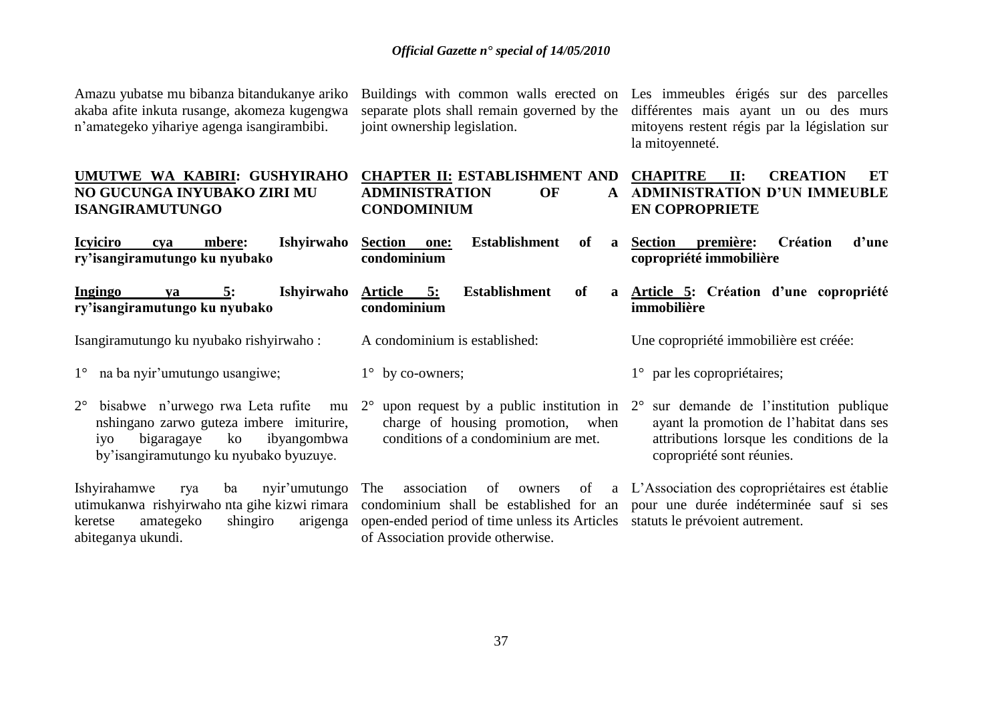Amazu yubatse mu bibanza bitandukanye ariko akaba afite inkuta rusange, akomeza kugengwa n'amategeko yihariye agenga isangirambibi.

joint ownership legislation.

Buildings with common walls erected on Les immeubles érigés sur des parcelles separate plots shall remain governed by the différentes mais ayant un ou des murs mitoyens restent régis par la législation sur la mitoyenneté.

| UMUTWE WA KABIRI: GUSHYIRAHO<br>NO GUCUNGA INYUBAKO ZIRI MU<br><b>ISANGIRAMUTUNGO</b>                                                                                                             | <b>CHAPTER II: ESTABLISHMENT AND</b><br><b>OF</b><br><b>ADMINISTRATION</b><br>$\mathbf{A}$<br><b>CONDOMINIUM</b>                                                                                                                                  | <b>CHAPITRE</b><br>II:<br><b>CREATION</b><br><b>ET</b><br><b>ADMINISTRATION D'UN IMMEUBLE</b><br><b>EN COPROPRIETE</b>                                      |  |
|---------------------------------------------------------------------------------------------------------------------------------------------------------------------------------------------------|---------------------------------------------------------------------------------------------------------------------------------------------------------------------------------------------------------------------------------------------------|-------------------------------------------------------------------------------------------------------------------------------------------------------------|--|
| Ishyirwaho<br><b>Icviciro</b><br>mbere:<br>cya<br>ry'isangiramutungo ku nyubako                                                                                                                   | <b>Establishment</b><br>of<br><b>Section</b><br>one:<br>$\mathbf{a}$<br>condominium                                                                                                                                                               | première:<br>Création<br>d'une<br><b>Section</b><br>copropriété immobilière                                                                                 |  |
| Ishyirwaho<br>Ingingo<br>5:<br>va<br>ry'isangiramutungo ku nyubako                                                                                                                                | <b>Establishment</b><br>of<br>Article 5:<br>condominium                                                                                                                                                                                           | a Article 5: Création d'une copropriété<br>immobilière                                                                                                      |  |
| Isangiramutungo ku nyubako rishyirwaho:                                                                                                                                                           | A condominium is established:                                                                                                                                                                                                                     | Une copropriété immobilière est créée:                                                                                                                      |  |
| na ba nyir'umutungo usangiwe;<br>$1^{\circ}$                                                                                                                                                      | $1^{\circ}$ by co-owners;                                                                                                                                                                                                                         | $1^{\circ}$ par les copropriétaires;                                                                                                                        |  |
| bisabwe n'urwego rwa Leta rufite mu 2 <sup>°</sup><br>$2^{\circ}$<br>nshingano zarwo guteza imbere imiturire,<br>bigaragaye<br>ko<br>ibyangombwa<br>1yo<br>by'isangiramutungo ku nyubako byuzuye. | upon request by a public institution in $2^{\circ}$<br>charge of housing promotion, when<br>conditions of a condominium are met.                                                                                                                  | sur demande de l'institution publique<br>ayant la promotion de l'habitat dans ses<br>attributions lorsque les conditions de la<br>copropriété sont réunies. |  |
| nyir'umutungo<br>Ishyirahamwe<br>ba<br>rya<br>utimukanwa rishyirwaho nta gihe kizwi rimara<br>amategeko<br>shingiro<br>arigenga<br>keretse<br>abiteganya ukundi.                                  | association<br>of<br>The<br>of<br>owners<br>condominium shall be established for an pour une durée indéterminée sauf si ses<br>open-ended period of time unless its Articles statuts le prévoient autrement.<br>of Association provide otherwise. | a L'Association des copropriétaires est établie                                                                                                             |  |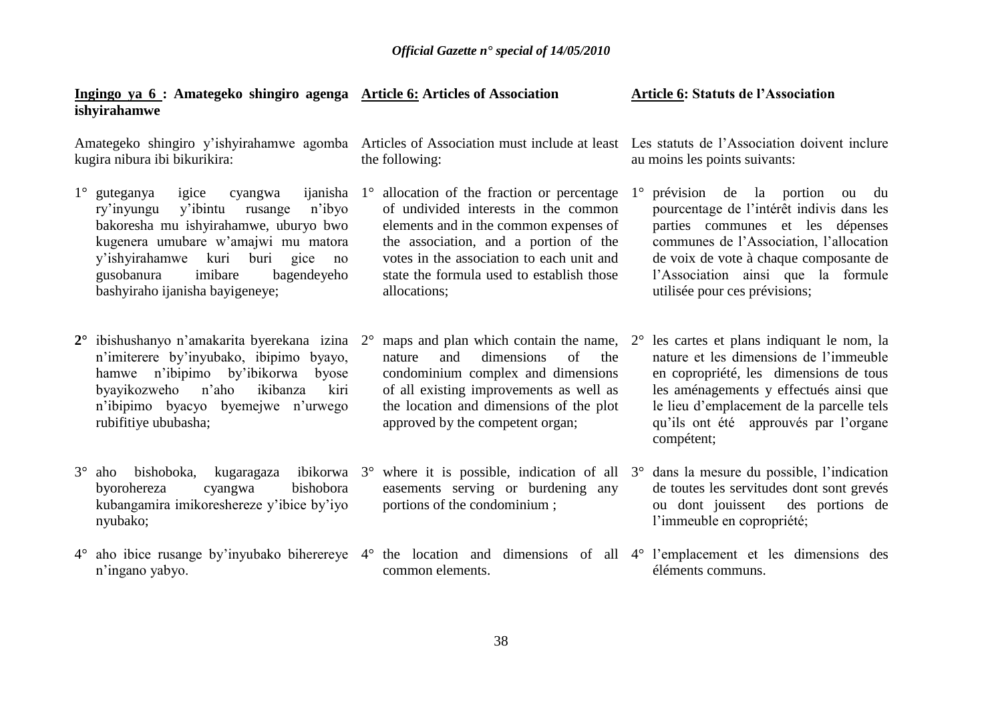| Ingingo ya 6 : Amategeko shingiro agenga Article 6: Articles of Association<br>ishyirahamwe                                                                                                                                                                                                                   |                                                                                                                                                                                                                                                                                              | <b>Article 6: Statuts de l'Association</b>                                                                                                                                                                                                                                                   |
|---------------------------------------------------------------------------------------------------------------------------------------------------------------------------------------------------------------------------------------------------------------------------------------------------------------|----------------------------------------------------------------------------------------------------------------------------------------------------------------------------------------------------------------------------------------------------------------------------------------------|----------------------------------------------------------------------------------------------------------------------------------------------------------------------------------------------------------------------------------------------------------------------------------------------|
| Amategeko shingiro y'ishyirahamwe agomba Articles of Association must include at least Les statuts de l'Association doivent inclure<br>kugira nibura ibi bikurikira:                                                                                                                                          | the following:                                                                                                                                                                                                                                                                               | au moins les points suivants:                                                                                                                                                                                                                                                                |
| igice<br>$1^\circ$ guteganya<br>ijanisha<br>cyangwa<br>y'ibintu<br>n'ibyo<br>ry'inyungu<br>rusange<br>bakoresha mu ishyirahamwe, uburyo bwo<br>kugenera umubare w'amajwi mu matora<br>y'ishyirahamwe<br>kuri<br>buri<br>gice<br>no<br>gusobanura<br>imibare<br>bagendeyeho<br>bashyiraho ijanisha bayigeneye; | allocation of the fraction or percentage<br>$1^{\circ}$<br>of undivided interests in the common<br>elements and in the common expenses of<br>the association, and a portion of the<br>votes in the association to each unit and<br>state the formula used to establish those<br>allocations; | prévision de la portion<br>$1^{\circ}$<br>ou du<br>pourcentage de l'intérêt indivis dans les<br>parties communes et les dépenses<br>communes de l'Association, l'allocation<br>de voix de vote à chaque composante de<br>l'Association ainsi que la formule<br>utilisée pour ces prévisions; |
| ibishushanyo n'amakarita byerekana izina<br>n'imiterere by'inyubako, ibipimo byayo,<br>hamwe n'ibipimo by'ibikorwa<br>byose<br>byayikozweho<br>n'aho<br>ikibanza<br>kiri<br>n'ibipimo byacyo byemejwe n'urwego<br>rubifitiye ububasha;                                                                        | maps and plan which contain the name, $2^{\circ}$<br>$2^{\circ}$<br>dimensions<br>of<br>and<br>the<br>nature<br>condominium complex and dimensions<br>of all existing improvements as well as<br>the location and dimensions of the plot<br>approved by the competent organ;                 | les cartes et plans indiquant le nom, la<br>nature et les dimensions de l'immeuble<br>en copropriété, les dimensions de tous<br>les aménagements y effectués ainsi que<br>le lieu d'emplacement de la parcelle tels<br>qu'ils ont été approuvés par l'organe<br>compétent;                   |
| $3^\circ$<br>bishoboka,<br>kugaragaza<br>aho<br>bishobora<br>byorohereza<br>cyangwa<br>kubangamira imikoreshereze y'ibice by'iyo<br>nyubako;                                                                                                                                                                  | ibikorwa $3^{\circ}$ where it is possible, indication of all $3^{\circ}$<br>easements serving or burdening any<br>portions of the condominium;                                                                                                                                               | dans la mesure du possible, l'indication<br>de toutes les servitudes dont sont grevés<br>ou dont jouissent des portions de<br>l'immeuble en copropriété;                                                                                                                                     |
| $4^\circ$<br>n'ingano yabyo.                                                                                                                                                                                                                                                                                  | aho ibice rusange by invubako biherereye 4° the location and dimensions of all 4° l'emplacement et les dimensions des<br>common elements.                                                                                                                                                    | éléments communs.                                                                                                                                                                                                                                                                            |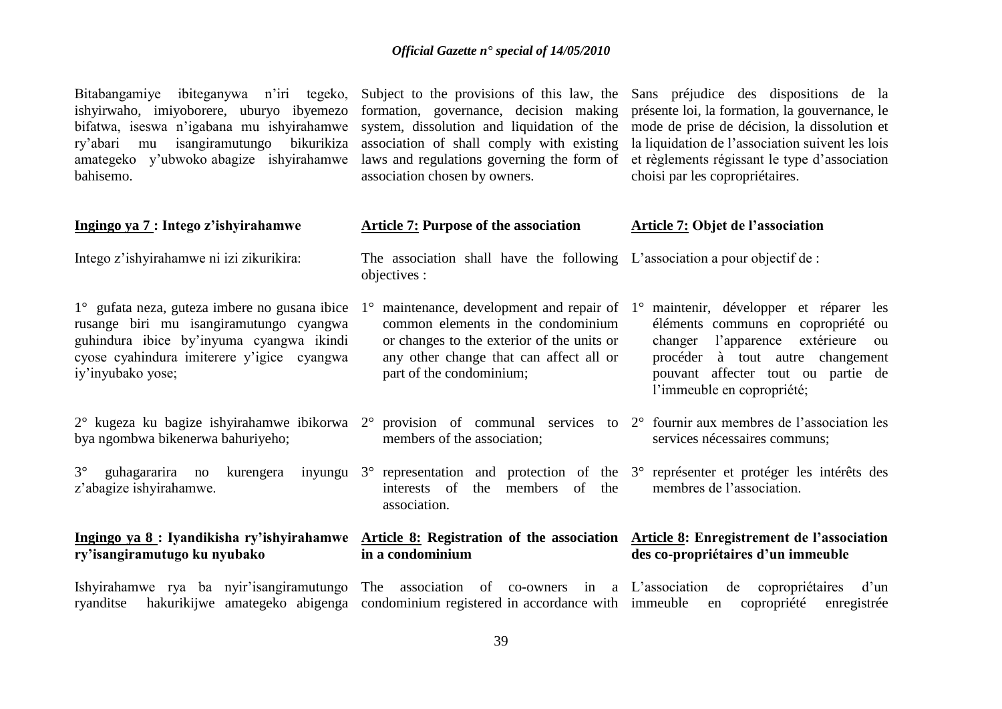Bitabangamiye ibiteganywa n'iri tegeko, ishyirwaho, imiyoborere, uburyo ibyemezo bifatwa, iseswa n'igabana mu ishyirahamwe ry'abari mu isangiramutungo bikurikiza amategeko y'ubwoko abagize ishyirahamwe laws and regulations governing the form of et règlements régissant le type d'association bahisemo.

association chosen by owners.

Subject to the provisions of this law, the Sans préjudice des dispositions de la formation, governance, decision making présente loi, la formation, la gouvernance, le system, dissolution and liquidation of the mode de prise de décision, la dissolution et association of shall comply with existing la liquidation de l'association suivent les lois choisi par les copropriétaires.

| Ingingo ya 7: Intego z'ishyirahamwe                                                                                                                                                                     | <b>Article 7: Purpose of the association</b>                                                                                                                                                                                 | <b>Article 7: Objet de l'association</b>                                                                                                                                                                                   |
|---------------------------------------------------------------------------------------------------------------------------------------------------------------------------------------------------------|------------------------------------------------------------------------------------------------------------------------------------------------------------------------------------------------------------------------------|----------------------------------------------------------------------------------------------------------------------------------------------------------------------------------------------------------------------------|
| Intego z'ishyirahamwe ni izi zikurikira:                                                                                                                                                                | The association shall have the following L'association a pour objectif de :<br>objectives :                                                                                                                                  |                                                                                                                                                                                                                            |
| 1° gufata neza, guteza imbere no gusana ibice<br>rusange biri mu isangiramutungo cyangwa<br>guhindura ibice by'inyuma cyangwa ikindi<br>cyose cyahindura imiterere y'igice cyangwa<br>iy'inyubako yose; | maintenance, development and repair of $1^{\circ}$<br>$1^{\circ}$<br>common elements in the condominium<br>or changes to the exterior of the units or<br>any other change that can affect all or<br>part of the condominium; | maintenir, développer et réparer les<br>éléments communs en copropriété ou<br>changer l'apparence extérieure<br>ou<br>procéder à tout autre changement<br>pouvant affecter tout ou partie de<br>l'immeuble en copropriété; |
| 2° kugeza ku bagize ishyirahamwe ibikorwa<br>bya ngombwa bikenerwa bahuriyeho;                                                                                                                          | $2^{\circ}$ provision of communal services to $2^{\circ}$ fournir aux membres de l'association les<br>members of the association;                                                                                            | services nécessaires communs;                                                                                                                                                                                              |
| $3^\circ$<br>guhagararira no<br>kurengera<br>inyungu<br>z'abagize ishyirahamwe.                                                                                                                         | $3^{\circ}$ representation and protection of the $3^{\circ}$ représenter et protéger les intérêts des<br>interests of<br>members of the<br>the<br>association.                                                               | membres de l'association.                                                                                                                                                                                                  |
| Ingingo ya 8: Iyandikisha ry'ishyirahamwe<br>ry'isangiramutugo ku nyubako                                                                                                                               | in a condominium                                                                                                                                                                                                             | Article 8: Registration of the association Article 8: Enregistrement de l'association<br>des co-propriétaires d'un immeuble                                                                                                |
| Ishyirahamwe rya ba nyir'isangiramutungo<br>ryanditse                                                                                                                                                   | The association of co-owners in a L'association<br>hakurikijwe amategeko abigenga condominium registered in accordance with immeuble                                                                                         | d'un<br>copropriétaires<br>de<br>copropriété<br>enregistrée<br>en                                                                                                                                                          |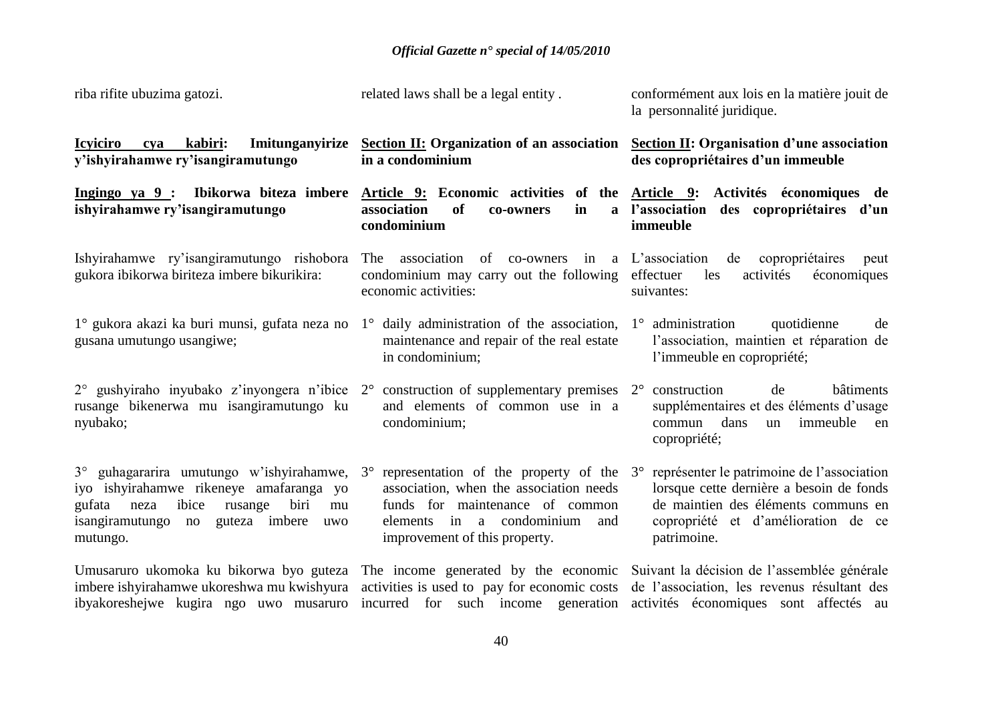| riba rifite ubuzima gatozi.                                                                                                                                                                                                                                     | related laws shall be a legal entity.                                                                                                                                                    | conformément aux lois en la matière jouit de<br>la personnalité juridique.                                                                                                                       |
|-----------------------------------------------------------------------------------------------------------------------------------------------------------------------------------------------------------------------------------------------------------------|------------------------------------------------------------------------------------------------------------------------------------------------------------------------------------------|--------------------------------------------------------------------------------------------------------------------------------------------------------------------------------------------------|
| cya kabiri:<br>Imitunganyirize<br><b>Icviciro</b><br>y'ishyirahamwe ry'isangiramutungo                                                                                                                                                                          | Section II: Organization of an association Section II: Organisation d'une association<br>in a condominium                                                                                | des copropriétaires d'un immeuble                                                                                                                                                                |
| Ingingo ya 9 : Ibikorwa biteza imbere Article 9: Economic activities of the Article 9: Activités économiques de<br>ishyirahamwe ry'isangiramutungo                                                                                                              | association<br><b>of</b><br>in<br>co-owners<br>condominium                                                                                                                               | a l'association<br>des copropriétaires d'un<br>immeuble                                                                                                                                          |
| Ishyirahamwe ry'isangiramutungo rishobora<br>gukora ibikorwa biriteza imbere bikurikira:                                                                                                                                                                        | of co-owners in a L'association<br>association<br>The<br>condominium may carry out the following<br>economic activities:                                                                 | de<br>copropriétaires<br>peut<br>effectuer<br>les<br>activités<br>économiques<br>suivantes:                                                                                                      |
| 1° gukora akazi ka buri munsi, gufata neza no<br>gusana umutungo usangiwe;                                                                                                                                                                                      | $1^\circ$ daily administration of the association,<br>maintenance and repair of the real estate<br>in condominium;                                                                       | administration<br>quotidienne<br>$1^{\circ}$<br>de<br>l'association, maintien et réparation de<br>l'immeuble en copropriété;                                                                     |
| $2^{\circ}$ gushyiraho inyubako z'inyongera n'ibice $2^{\circ}$ construction of supplementary premises $2^{\circ}$<br>rusange bikenerwa mu isangiramutungo ku<br>nyubako;                                                                                       | and elements of common use in a<br>condominium;                                                                                                                                          | construction<br>bâtiments<br>de<br>supplémentaires et des éléments d'usage<br>dans<br>immeuble<br>commun<br>un<br>en<br>copropriété;                                                             |
| $3^{\circ}$ guhagararira umutungo w'ishyirahamwe, $3^{\circ}$<br>iyo ishyirahamwe rikeneye amafaranga yo<br>biri<br>gufata neza<br>ibice<br>rusange<br>mu<br>guteza imbere<br>isangiramutungo no<br>uwo<br>mutungo.                                             | representation of the property of the<br>association, when the association needs<br>funds for maintenance of common<br>elements in a condominium<br>and<br>improvement of this property. | représenter le patrimoine de l'association<br>$3^\circ$<br>lorsque cette dernière a besoin de fonds<br>de maintien des éléments communs en<br>copropriété et d'amélioration de ce<br>patrimoine. |
| Umusaruro ukomoka ku bikorwa byo guteza The income generated by the economic Suivant la décision de l'assemblée générale<br>imbere ishyirahamwe ukoreshwa mu kwishyura activities is used to pay for economic costs de l'association, les revenus résultant des |                                                                                                                                                                                          |                                                                                                                                                                                                  |

activités économiques sont affectés au

incurred for such income generation

ibyakoreshejwe kugira ngo uwo musaruro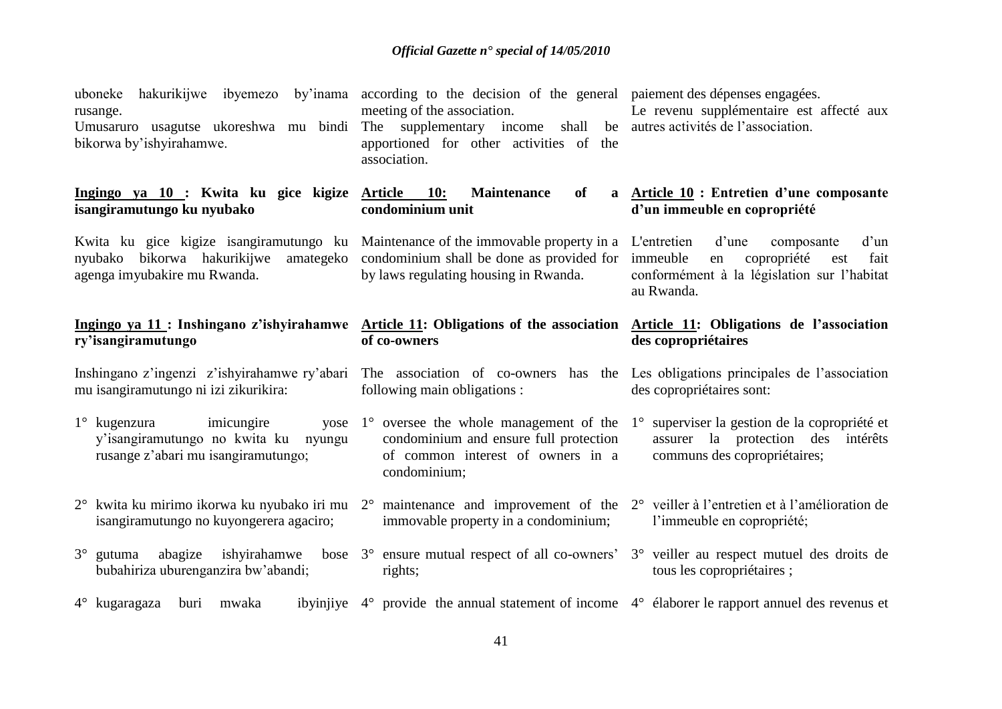| uboneke<br>rusange.<br>Umusaruro usagutse ukoreshwa mu bindi<br>bikorwa by'ishyirahamwe.                                                                                                                | hakurikijwe ibyemezo by'inama according to the decision of the general paiement des dépenses engagées.<br>meeting of the association.<br>supplementary income shall be autres activités de l'association.<br>The<br>apportioned for other activities of the<br>association. | Le revenu supplémentaire est affecté aux                                                                                                                |  |
|---------------------------------------------------------------------------------------------------------------------------------------------------------------------------------------------------------|-----------------------------------------------------------------------------------------------------------------------------------------------------------------------------------------------------------------------------------------------------------------------------|---------------------------------------------------------------------------------------------------------------------------------------------------------|--|
| Ingingo ya 10 : Kwita ku gice kigize Article<br>isangiramutungo ku nyubako                                                                                                                              | <b>Maintenance</b><br>10:<br>of<br>condominium unit                                                                                                                                                                                                                         | a Article 10 : Entretien d'une composante<br>d'un immeuble en copropriété                                                                               |  |
| Kwita ku gice kigize isangiramutungo ku Maintenance of the immovable property in a<br>nyubako bikorwa hakurikijwe<br>agenga imyubakire mu Rwanda.                                                       | amategeko condominium shall be done as provided for<br>by laws regulating housing in Rwanda.                                                                                                                                                                                | d'une<br>d'un<br>L'entretien<br>composante<br>immeuble<br>copropriété<br>fait<br>en<br>est<br>conformément à la législation sur l'habitat<br>au Rwanda. |  |
| Ingingo ya 11: Inshingano z'ishyirahamwe Article 11: Obligations of the association Article 11: Obligations de l'association<br>ry'isangiramutungo                                                      | of co-owners                                                                                                                                                                                                                                                                | des copropriétaires                                                                                                                                     |  |
|                                                                                                                                                                                                         |                                                                                                                                                                                                                                                                             |                                                                                                                                                         |  |
| Inshingano z'ingenzi z'ishyirahamwe ry'abari The association of co-owners has the Les obligations principales de l'association<br>mu isangiramutungo ni izi zikurikira:                                 | following main obligations :                                                                                                                                                                                                                                                | des copropriétaires sont:                                                                                                                               |  |
| imicungire<br>$1^\circ$ kugenzura<br>y'isangiramutungo no kwita ku nyungu<br>rusange z'abari mu isangiramutungo;                                                                                        | yose $1^{\circ}$ oversee the whole management of the<br>condominium and ensure full protection<br>of common interest of owners in a<br>condominium;                                                                                                                         | 1° superviser la gestion de la copropriété et<br>assurer la protection des<br>intérêts<br>communs des copropriétaires;                                  |  |
| $2^{\circ}$ kwita ku mirimo ikorwa ku nyubako iri mu $2^{\circ}$ maintenance and improvement of the $2^{\circ}$ veiller à l'entretien et à l'amélioration de<br>isangiramutungo no kuyongerera agaciro; | immovable property in a condominium;                                                                                                                                                                                                                                        | l'immeuble en copropriété;                                                                                                                              |  |
| abagize<br>ishyirahamwe<br>$3^\circ$ gutuma<br>bubahiriza uburenganzira bw'abandi;                                                                                                                      | bose $3^{\circ}$ ensure mutual respect of all co-owners' $3^{\circ}$ veiller au respect mutuel des droits de<br>rights;                                                                                                                                                     | tous les copropriétaires ;                                                                                                                              |  |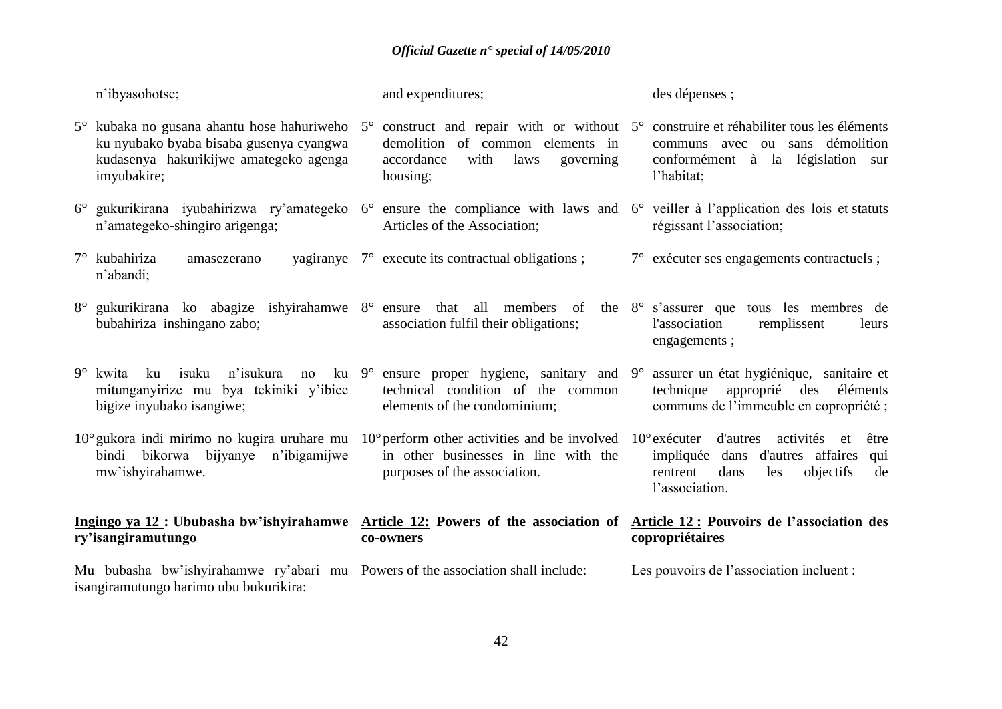|             | n'ibyasohotse;                                                                                                                                                                                                                     | and expenditures;                                                                                                                   | des dépenses ;                                                                                                                  |
|-------------|------------------------------------------------------------------------------------------------------------------------------------------------------------------------------------------------------------------------------------|-------------------------------------------------------------------------------------------------------------------------------------|---------------------------------------------------------------------------------------------------------------------------------|
|             | kubaka no gusana ahantu hose hahuriweho 5° construct and repair with or without 5° construire et réhabiliter tous les éléments<br>ku nyubako byaba bisaba gusenya cyangwa<br>kudasenya hakurikijwe amategeko agenga<br>imyubakire; | demolition of common elements in<br>accordance<br>with<br>laws<br>governing<br>housing;                                             | communs avec ou sans démolition<br>conformément à la législation sur<br>l'habitat;                                              |
|             | 6° gukurikirana iyubahirizwa ry'amategeko 6° ensure the compliance with laws and 6° veiller à l'application des lois et statuts<br>n'amategeko-shingiro arigenga;                                                                  | Articles of the Association;                                                                                                        | régissant l'association;                                                                                                        |
| $7^{\circ}$ | kubahiriza<br>amasezerano<br>n'abandi;                                                                                                                                                                                             | yagiranye $7^{\circ}$ execute its contractual obligations;                                                                          | 7° exécuter ses engagements contractuels;                                                                                       |
|             | 8° gukurikirana ko abagize ishyirahamwe 8° ensure that all members of the 8° s'assurer que tous les membres de<br>bubahiriza inshingano zabo;                                                                                      | association fulfil their obligations;                                                                                               | l'association<br>remplissent<br>leurs<br>engagements;                                                                           |
| 9°          | ku isuku<br>n'isukura<br>kwita<br>no<br>mitunganyirize mu bya tekiniki y'ibice<br>bigize inyubako isangiwe;                                                                                                                        | ku $9^{\circ}$ ensure proper hygiene, sanitary and $9^{\circ}$<br>technical condition of the common<br>elements of the condominium; | assurer un état hygiénique, sanitaire et<br>technique approprié des<br>éléments<br>communs de l'immeuble en copropriété;        |
|             | $10^{\circ}$ gukora indi mirimo no kugira uruhare mu $10^{\circ}$ perform other activities and be involved $10^{\circ}$ exécuter d'autres<br>bindi bikorwa bijyanye n'ibigamijwe<br>mw'ishyirahamwe.                               | in other businesses in line with the<br>purposes of the association.                                                                | activités et<br>être<br>impliquée dans d'autres affaires<br>qui<br>objectifs<br>rentrent<br>dans<br>les<br>de<br>l'association. |
|             | Ingingo ya 12 : Ububasha bw'ishyirahamwe Article 12: Powers of the association of Article 12 : Pouvoirs de l'association des<br>ry'isangiramutungo                                                                                 | co-owners                                                                                                                           | copropriétaires                                                                                                                 |
|             | Mu bubasha bw'ishyirahamwe ry'abari mu Powers of the association shall include:<br>isangiramutungo harimo ubu bukurikira:                                                                                                          |                                                                                                                                     | Les pouvoirs de l'association incluent :                                                                                        |
|             |                                                                                                                                                                                                                                    |                                                                                                                                     |                                                                                                                                 |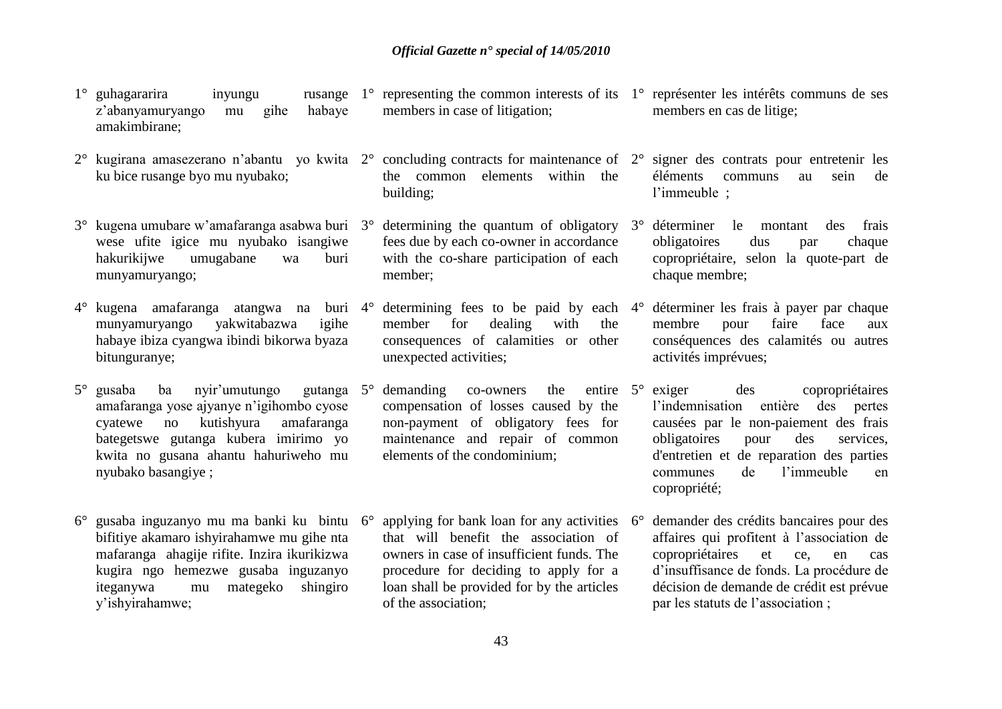- $1^\circ$  guhagararira inyungu z'abanyamuryango mu gihe habaye amakimbirane;
- 2° kugirana amasezerano n'abantu yo kwita 2° concluding contracts for maintenance of 2° signer des contrats pour entretenir les ku bice rusange byo mu nyubako;
- 3° kugena umubare w'amafaranga asabwa buri wese ufite igice mu nyubako isangiwe hakurikijwe umugabane wa buri munyamuryango;
- 4° kugena amafaranga atangwa na buri munyamuryango yakwitabazwa igihe habaye ibiza cyangwa ibindi bikorwa byaza bitunguranye;
- 5° gusaba ba nyir'umutungo gutanga amafaranga yose ajyanye n'igihombo cyose cyatewe no kutishyura amafaranga bategetswe gutanga kubera imirimo yo kwita no gusana ahantu hahuriweho mu nyubako basangiye ;
- 6° gusaba inguzanyo mu ma banki ku bintu bifitiye akamaro ishyirahamwe mu gihe nta mafaranga ahagije rifite. Inzira ikurikizwa kugira ngo hemezwe gusaba inguzanyo iteganywa mu mategeko shingiro y'ishyirahamwe;
- 1° representing the common interests of its 1° représenter les intérêts communs de ses members in case of litigation;
- the common elements within the building;
- 3° determining the quantum of obligatory fees due by each co-owner in accordance with the co-share participation of each member;
- determining fees to be paid by each  $4^\circ$ member for dealing with the consequences of calamities or other unexpected activities;
- demanding co-owners the entire 5° compensation of losses caused by the non-payment of obligatory fees for maintenance and repair of common elements of the condominium;
- applying for bank loan for any activities  $6^\circ$ that will benefit the association of owners in case of insufficient funds. The procedure for deciding to apply for a loan shall be provided for by the articles of the association;
- members en cas de litige;
	- éléments communs au sein de l'immeuble ;
	- déterminer le montant des frais obligatoires dus par chaque copropriétaire, selon la quote-part de chaque membre;
- déterminer les frais à payer par chaque membre pour faire face aux conséquences des calamités ou autres activités imprévues;
- exiger des copropriétaires l'indemnisation entière des pertes causées par le non-paiement des frais obligatoires pour des services, d'entretien et de reparation des parties communes de l'immeuble en copropriété;
- demander des crédits bancaires pour des affaires qui profitent à l'association de copropriétaires et ce, en cas d'insuffisance de fonds. La procédure de décision de demande de crédit est prévue par les statuts de l'association ;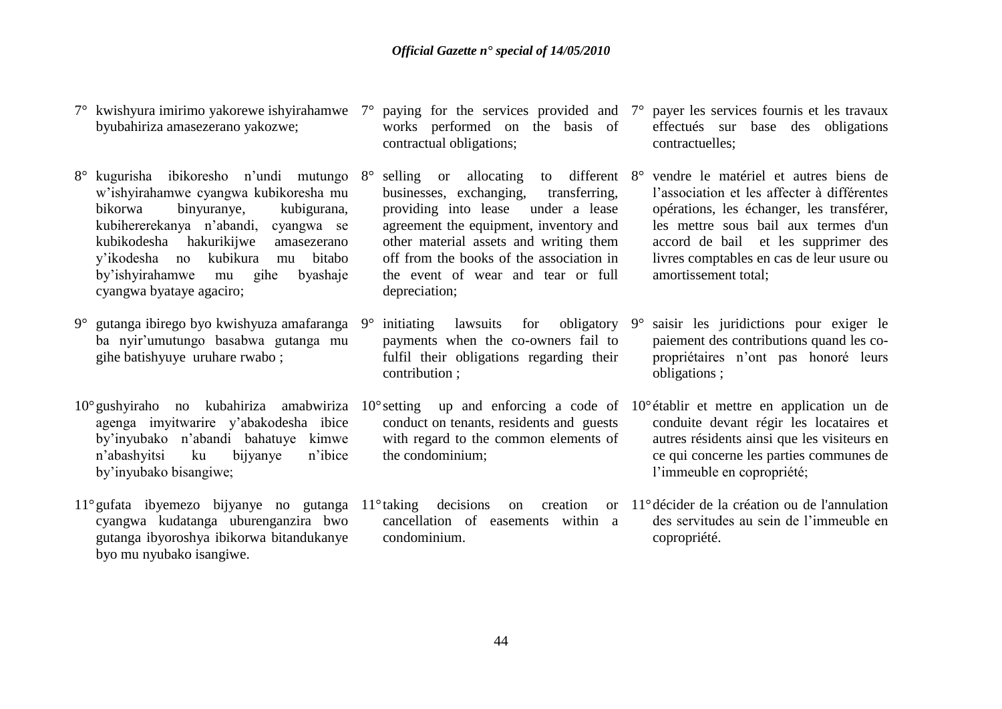- 7° kwishyura imirimo yakorewe ishyirahamwe byubahiriza amasezerano yakozwe;
- 8° kugurisha ibikoresho n'undi mutungo w'ishyirahamwe cyangwa kubikoresha mu bikorwa binyuranye, kubigurana, kubihererekanya n'abandi, cyangwa se kubikodesha hakurikijwe amasezerano y'ikodesha no kubikura mu bitabo by'ishyirahamwe mu gihe byashaje cyangwa byataye agaciro;
- 9° gutanga ibirego byo kwishyuza amafaranga ba nyir'umutungo basabwa gutanga mu gihe batishyuye uruhare rwabo ;
- 10°gushyiraho no kubahiriza amabwiriza 10°setting up and enforcing a code of 10°établir et mettre en application un de agenga imyitwarire y'abakodesha ibice by'inyubako n'abandi bahatuye kimwe n'abashyitsi ku bijyanye n'ibice by'inyubako bisangiwe;
- 11°gufata ibyemezo bijyanye no gutanga 11°taking decisions on creation or cyangwa kudatanga uburenganzira bwo gutanga ibyoroshya ibikorwa bitandukanye byo mu nyubako isangiwe.
- 7° paying for the services provided and works performed on the basis of contractual obligations;
- businesses, exchanging, transferring, providing into lease under a lease agreement the equipment, inventory and other material assets and writing them off from the books of the association in the event of wear and tear or full depreciation;
- 9° initiating lawsuits for obligatory payments when the co-owners fail to fulfil their obligations regarding their contribution ;
- conduct on tenants, residents and guests with regard to the common elements of the condominium;
- cancellation of easements within a condominium.
- payer les services fournis et les travaux effectués sur base des obligations contractuelles;
- 8° selling or allocating to different 8° vendre le matériel et autres biens de l'association et les affecter à différentes opérations, les échanger, les transférer, les mettre sous bail aux termes d'un accord de bail et les supprimer des livres comptables en cas de leur usure ou amortissement total;
	- saisir les juridictions pour exiger le paiement des contributions quand les copropriétaires n'ont pas honoré leurs obligations ;
	- conduite devant régir les locataires et autres résidents ainsi que les visiteurs en ce qui concerne les parties communes de l'immeuble en copropriété;
	- 11°décider de la création ou de l'annulation des servitudes au sein de l'immeuble en copropriété.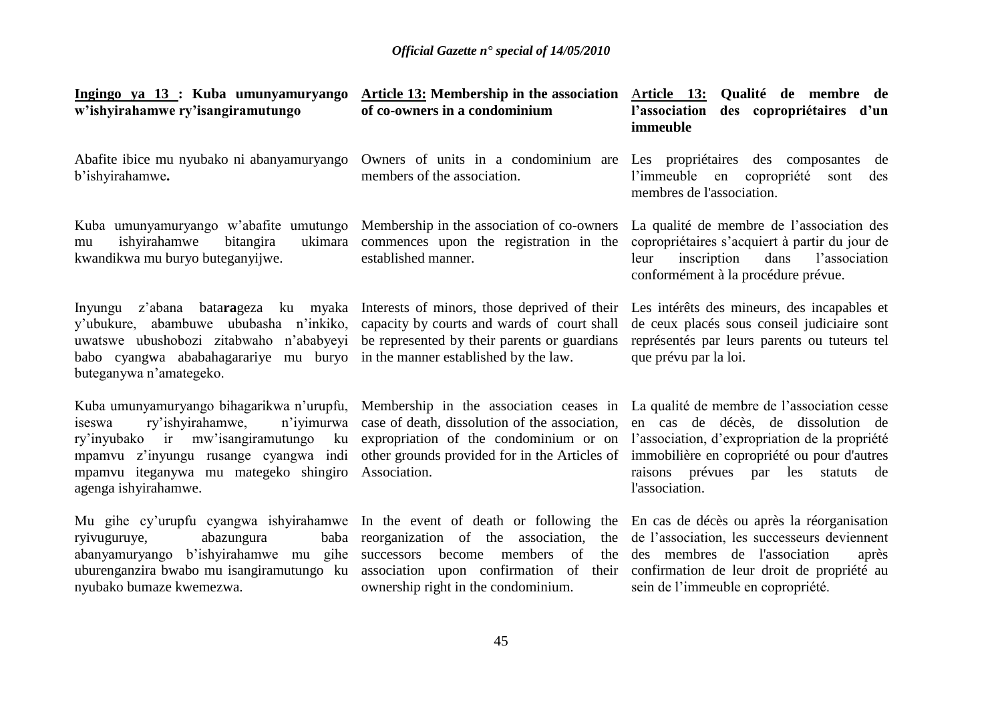| Ingingo ya 13 : Kuba umunyamuryango<br>w'ishyirahamwe ry'isangiramutungo                                                                                                                                                                                                                                                       | <b>Article 13:</b> Membership in the association<br>of co-owners in a condominium                                                                                             | <u>Article 13:</u><br>Qualité de membre de<br>l'association<br>des copropriétaires d'un<br>immeuble                                                                                                                     |  |
|--------------------------------------------------------------------------------------------------------------------------------------------------------------------------------------------------------------------------------------------------------------------------------------------------------------------------------|-------------------------------------------------------------------------------------------------------------------------------------------------------------------------------|-------------------------------------------------------------------------------------------------------------------------------------------------------------------------------------------------------------------------|--|
| Abafite ibice mu nyubako ni abanyamuryango<br>b'ishyirahamwe.                                                                                                                                                                                                                                                                  | Owners of units in a condominium are<br>members of the association.                                                                                                           | Les propriétaires des composantes<br>de<br>l'immeuble en<br>copropriété<br>sont<br>des<br>membres de l'association.                                                                                                     |  |
| Kuba umunyamuryango w'abafite umutungo<br>ishyirahamwe<br>bitangira<br>ukimara<br>mu<br>kwandikwa mu buryo buteganyijwe.                                                                                                                                                                                                       | Membership in the association of co-owners<br>commences upon the registration in the<br>established manner.                                                                   | La qualité de membre de l'association des<br>copropriétaires s'acquiert à partir du jour de<br>l'association<br>leur<br>inscription<br>dans<br>conformément à la procédure prévue.                                      |  |
| Inyungu<br>y'ubukure, abambuwe ububasha n'inkiko,<br>uwatswe ubushobozi zitabwaho n'ababyeyi<br>babo cyangwa ababahagarariye mu buryo in the manner established by the law.<br>buteganywa n'amategeko.                                                                                                                         | z'abana batarageza ku myaka Interests of minors, those deprived of their<br>capacity by courts and wards of court shall<br>be represented by their parents or guardians       | Les intérêts des mineurs, des incapables et<br>de ceux placés sous conseil judiciaire sont<br>représentés par leurs parents ou tuteurs tel<br>que prévu par la loi.                                                     |  |
| Kuba umunyamuryango bihagarikwa n'urupfu, Membership in the association ceases in La qualité de membre de l'association cesse<br>ry'ishyirahamwe,<br>n'iyimurwa<br>iseswa<br>ry'inyubako ir mw'isangiramutungo<br>ku<br>mpamvu z'inyungu rusange cyangwa indi<br>mpamvu iteganywa mu mategeko shingiro<br>agenga ishyirahamwe. | case of death, dissolution of the association,<br>expropriation of the condominium or on<br>other grounds provided for in the Articles of<br>Association.                     | en cas de décès, de dissolution de<br>l'association, d'expropriation de la propriété<br>immobilière en copropriété ou pour d'autres<br>raisons prévues par<br>les statuts<br>de<br>l'association.                       |  |
| Mu gihe cy'urupfu cyangwa ishyirahamwe In the event of death or following the<br>abazungura<br>baba<br>ryivuguruye,<br>abanyamuryango b'ishyirahamwe mu gihe<br>uburenganzira bwabo mu isangiramutungo ku<br>nyubako bumaze kwemezwa.                                                                                          | reorganization of the association,<br>the<br>successors<br>become<br>members<br>of<br>the<br>association upon confirmation of<br>their<br>ownership right in the condominium. | En cas de décès ou après la réorganisation<br>de l'association, les successeurs deviennent<br>des membres de l'association<br>après<br>confirmation de leur droit de propriété au<br>sein de l'immeuble en copropriété. |  |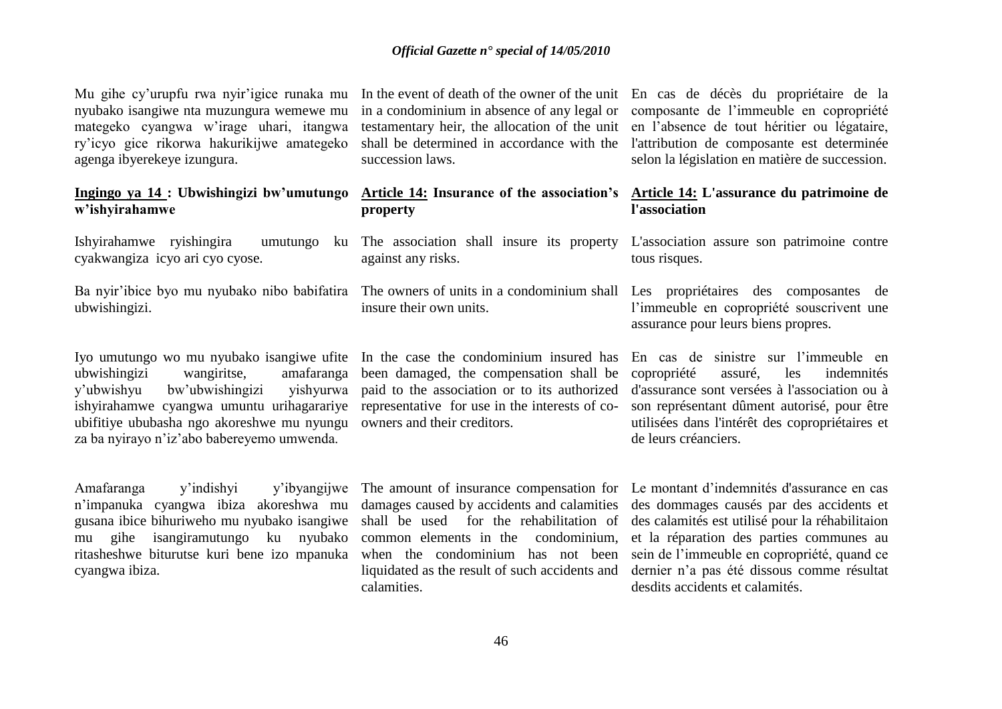Mu gihe cy'urupfu rwa nyir'igice runaka mu nyubako isangiwe nta muzungura wemewe mu mategeko cyangwa w'irage uhari, itangwa ry'icyo gice rikorwa hakurikijwe amategeko agenga ibyerekeye izungura.

### **Ingingo ya 14 : Ubwishingizi bw'umutungo w'ishyirahamwe**

Ishyirahamwe ryishingira cyakwangiza icyo ari cyo cyose.

Ba nyir'ibice byo mu nyubako nibo babifatira ubwishingizi.

Iyo umutungo wo mu nyubako isangiwe ufite ubwishingizi wangiritse, amafaranga y'ubwishyu bw'ubwishingizi yishyurwa ishyirahamwe cyangwa umuntu urihagarariye ubifitiye ububasha ngo akoreshwe mu nyungu owners and their creditors. za ba nyirayo n'iz'abo babereyemo umwenda.

Amafaranga y'indishyi y'ibyangijwe n'impanuka cyangwa ibiza akoreshwa mu gusana ibice bihuriweho mu nyubako isangiwe mu gihe isangiramutungo ku nyubako ritasheshwe biturutse kuri bene izo mpanuka cyangwa ibiza.

succession laws.

|          |  | Article 14: Insurance of the association's |
|----------|--|--------------------------------------------|
| property |  |                                            |

against any risks.

insure their own units.

been damaged, the compensation shall be paid to the association or to its authorized representative for use in the interests of co-

damages caused by accidents and calamities shall be used for the rehabilitation of common elements in the condominium, liquidated as the result of such accidents and calamities.

In the event of death of the owner of the unit En cas de décès du propriétaire de la in a condominium in absence of any legal or composante de l'immeuble en copropriété testamentary heir, the allocation of the unit en l'absence de tout héritier ou légataire, shall be determined in accordance with the l'attribution de composante est determinée selon la législation en matière de succession.

### **Article 14: L'assurance du patrimoine de l'association**

The association shall insure its property L'association assure son patrimoine contre tous risques.

The owners of units in a condominium shall Les propriétaires des composantes de l'immeuble en copropriété souscrivent une assurance pour leurs biens propres.

In the case the condominium insured has En cas de sinistre sur l'immeuble en copropriété assuré, les indemnités d'assurance sont versées à l'association ou à son représentant dûment autorisé, pour être utilisées dans l'intérêt des copropriétaires et de leurs créanciers.

The amount of insurance compensation for Le montant d'indemnités d'assurance en cas when the condominium has not been sein de l'immeuble en copropriété, quand ce des dommages causés par des accidents et des calamités est utilisé pour la réhabilitaion et la réparation des parties communes au dernier n'a pas été dissous comme résultat desdits accidents et calamités.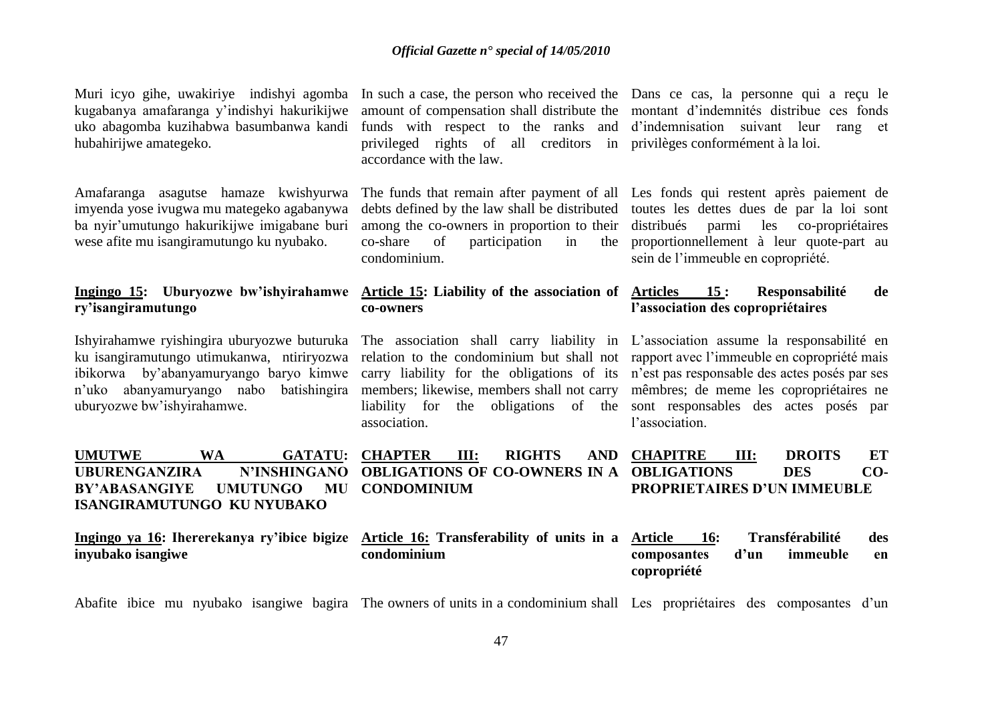kugabanya amafaranga y'indishyi hakurikijwe uko abagomba kuzihabwa basumbanwa kandi hubahirijwe amategeko.

Amafaranga asagutse hamaze kwishyurwa imyenda yose ivugwa mu mategeko agabanywa ba nyir'umutungo hakurikijwe imigabane buri wese afite mu isangiramutungo ku nyubako.

## **ry'isangiramutungo**

ku isangiramutungo utimukanwa, ntiriryozwa relation to the condominium but shall not rapport avec l'immeuble en copropriété mais ibikorwa by'abanyamuryango baryo kimwe n'uko abanyamuryango nabo batishingira uburyozwe bw'ishyirahamwe.

privileged rights of all creditors in privilèges conformément à la loi. accordance with the law.

debts defined by the law shall be distributed toutes les dettes dues de par la loi sont among the co-owners in proportion to their distribués parmi les co-propriétaires co-share of participation in condominium.

### **co-owners**

association.

Muri icyo gihe, uwakiriye indishyi agomba In such a case, the person who received the Dans ce cas, la personne qui a reçu le amount of compensation shall distribute the montant d'indemnités distribue ces fonds funds with respect to the ranks and d'indemnisation suivant leur rang et

> The funds that remain after payment of all Les fonds qui restent après paiement de proportionnellement à leur quote-part au sein de l'immeuble en copropriété.

### Ingingo 15: Uburyozwe bw'ishyirahamwe Article 15: Liability of the association of Articles 15: Responsabilité de **l'association des copropriétaires**

Ishyirahamwe ryishingira uburyozwe buturuka The association shall carry liability in L'association assume la responsabilité en carry liability for the obligations of its n'est pas responsable des actes posés par ses members; likewise, members shall not carry mêmbres; de meme les copropriétaires ne liability for the obligations of the sont responsables des actes posés par l'association.

| <b>UMUTWE</b>                                                                                     | WA       |  | GATATU: CHAPTER III:                                   | RIGHTS | AND CHAPITRE | III: | <b>DROITS</b>                      | ET  |
|---------------------------------------------------------------------------------------------------|----------|--|--------------------------------------------------------|--------|--------------|------|------------------------------------|-----|
| <b>UBURENGANZIRA</b>                                                                              |          |  | N'INSHINGANO OBLIGATIONS OF CO-OWNERS IN A OBLIGATIONS |        |              |      | <b>DES</b>                         | CO- |
| BY'ABASANGIYE                                                                                     | UMUTUNGO |  | <b>MU CONDOMINIUM</b>                                  |        |              |      | <b>PROPRIETAIRES D'UN IMMEUBLE</b> |     |
| ISANGIRAMUTUNGO KU NYUBAKO                                                                        |          |  |                                                        |        |              |      |                                    |     |
|                                                                                                   |          |  |                                                        |        |              |      |                                    |     |
| Ingingo ya 16: Ihererekanya ry'ibice bigize Article 16: Transferability of units in a Article 16: |          |  |                                                        |        |              |      | Transférabilité                    | des |
| inyubako isangiwe                                                                                 |          |  | condominium                                            |        | composantes  | d'un | immeuble                           | en  |
|                                                                                                   |          |  |                                                        |        | copropriété  |      |                                    |     |

Abafite ibice mu nyubako isangiwe bagira The owners of units in a condominium shall Les propriétaires des composantes d'un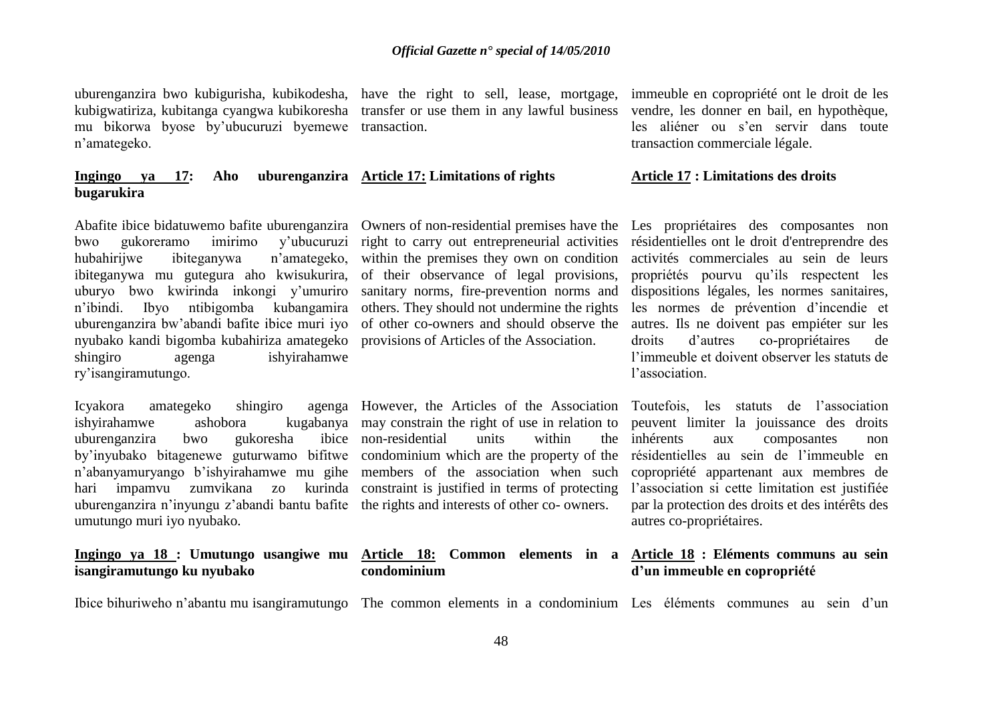uburenganzira bwo kubigurisha, kubikodesha, have the right to sell, lease, mortgage, kubigwatiriza, kubitanga cyangwa kubikoresha transfer or use them in any lawful business mu bikorwa byose by'ubucuruzi byemewe transaction. n'amategeko.

### **Ingingo ya 17: Aho uburenganzira Article 17: Limitations of rights bugarukira**

Abafite ibice bidatuwemo bafite uburenganzira bwo gukoreramo imirimo y'ubucuruzi hubahirijwe ibiteganywa n'amategeko, ibiteganywa mu gutegura aho kwisukurira, uburyo bwo kwirinda inkongi y'umuriro n'ibindi. Ibyo ntibigomba kubangamira uburenganzira bw'abandi bafite ibice muri iyo nyubako kandi bigomba kubahiriza amategeko shingiro agenga ishyirahamwe ry'isangiramutungo.

Icyakora amategeko shingiro ishyirahamwe ashobora uburenganzira bwo gukoresha by'inyubako bitagenewe guturwamo bifitwe n'abanyamuryango b'ishyirahamwe mu gihe members of the association when such hari impamvu zumvikana zo kurinda constraint is justified in terms of protecting uburenganzira n'inyungu z'abandi bantu bafite the rights and interests of other co- owners. umutungo muri iyo nyubako.

### **Ingingo ya 18 : Umutungo usangiwe mu isangiramutungo ku nyubako**

right to carry out entrepreneurial activities within the premises they own on condition of their observance of legal provisions, sanitary norms, fire-prevention norms and others. They should not undermine the rights of other co-owners and should observe the provisions of Articles of the Association.

However, the Articles of the Association Toutefois, les statuts de l'association kugabanya may constrain the right of use in relation to ibice non-residential units within the inherents condominium which are the property of the

### **condominium**

immeuble en copropriété ont le droit de les vendre, les donner en bail, en hypothèque, les aliéner ou s'en servir dans toute transaction commerciale légale.

### **Article 17 : Limitations des droits**

Owners of non-residential premises have the Les propriétaires des composantes non résidentielles ont le droit d'entreprendre des activités commerciales au sein de leurs propriétés pourvu qu'ils respectent les dispositions légales, les normes sanitaires, les normes de prévention d'incendie et autres. Ils ne doivent pas empiéter sur les droits d'autres co-propriétaires de l'immeuble et doivent observer les statuts de l'association.

> peuvent limiter la jouissance des droits aux composantes non résidentielles au sein de l'immeuble en copropriété appartenant aux membres de l'association si cette limitation est justifiée par la protection des droits et des intérêts des autres co-propriétaires.

### **Article 18: Common elements in a Article 18 : Eléments communs au sein d'un immeuble en copropriété**

Ibice bihuriweho n'abantu mu isangiramutungo The common elements in a condominium Les éléments communes au sein d'un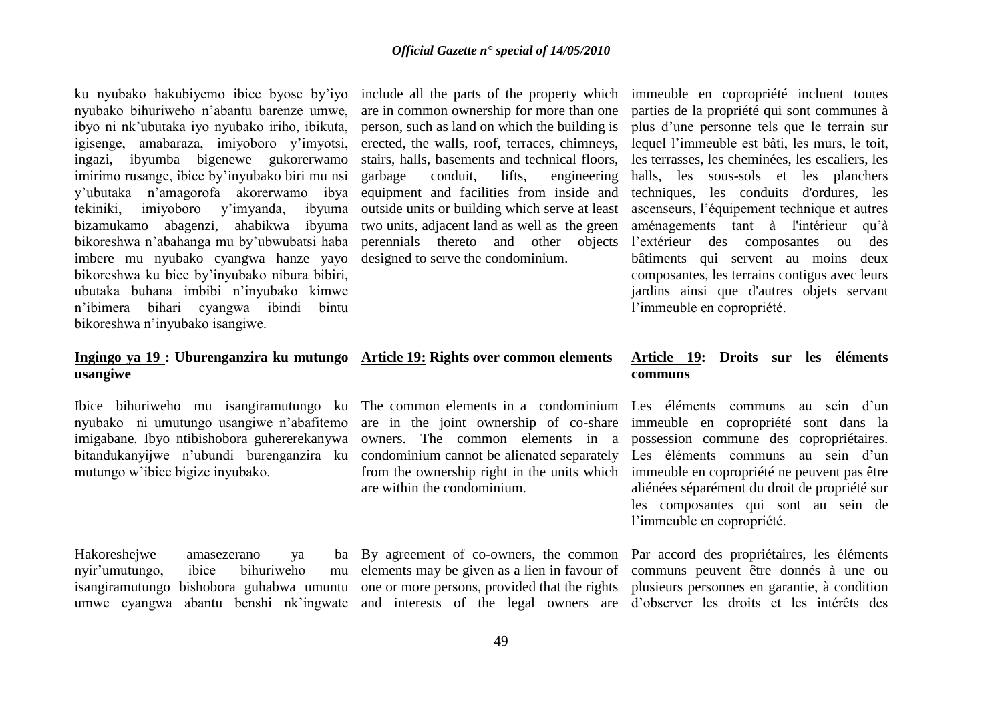ku nyubako hakubiyemo ibice byose by'iyo nyubako bihuriweho n'abantu barenze umwe, ibyo ni nk'ubutaka iyo nyubako iriho, ibikuta, igisenge, amabaraza, imiyoboro y'imyotsi, ingazi, ibyumba bigenewe gukorerwamo imirimo rusange, ibice by'inyubako biri mu nsi y'ubutaka n'amagorofa akorerwamo ibya tekiniki, imiyoboro y'imyanda, ibyuma bizamukamo abagenzi, ahabikwa ibyuma bikoreshwa n'abahanga mu by'ubwubatsi haba imbere mu nyubako cyangwa hanze yayo bikoreshwa ku bice by'inyubako nibura bibiri, ubutaka buhana imbibi n'inyubako kimwe n'ibimera bihari cyangwa ibindi bintu bikoreshwa n'inyubako isangiwe.

### **Ingingo ya 19 : Uburenganzira ku mutungo Article 19: Rights over common elements usangiwe**

Ibice bihuriweho mu isangiramutungo ku nyubako ni umutungo usangiwe n'abafitemo imigabane. Ibyo ntibishobora guhererekanywa bitandukanyijwe n'ubundi burenganzira ku mutungo w'ibice bigize inyubako.

Hakoreshejwe amasezerano ya ba nyir'umutungo, ibice bihuriweho mu isangiramutungo bishobora guhabwa umuntu

include all the parts of the property which immeuble en copropriété incluent toutes are in common ownership for more than one person, such as land on which the building is erected, the walls, roof, terraces, chimneys, stairs, halls, basements and technical floors, garbage conduit, lifts, engineering equipment and facilities from inside and outside units or building which serve at least two units, adjacent land as well as the green perennials thereto and other objects designed to serve the condominium.

are in the joint ownership of co-share owners. The common elements in a condominium cannot be alienated separately from the ownership right in the units which immeuble en copropriété ne peuvent pas être are within the condominium.

parties de la propriété qui sont communes à plus d'une personne tels que le terrain sur lequel l'immeuble est bâti, les murs, le toit, les terrasses, les cheminées, les escaliers, les halls, les sous-sols et les planchers techniques, les conduits d'ordures, les ascenseurs, l'équipement technique et autres aménagements tant à l'intérieur qu'à l'extérieur des composantes ou des bâtiments qui servent au moins deux composantes, les terrains contigus avec leurs jardins ainsi que d'autres objets servant l'immeuble en copropriété.

### **Article 19: Droits sur les éléments communs**

The common elements in a condominium Les éléments communs au sein d'un immeuble en copropriété sont dans la possession commune des copropriétaires. Les éléments communs au sein d'un aliénées séparément du droit de propriété sur les composantes qui sont au sein de l'immeuble en copropriété.

umwe cyangwa abantu benshi nk'ingwate and interests of the legal owners are d'observer les droits et les intérêts des By agreement of co-owners, the common Par accord des propriétaires, les éléments elements may be given as a lien in favour of communs peuvent être donnés à une ou one or more persons, provided that the rights plusieurs personnes en garantie, à condition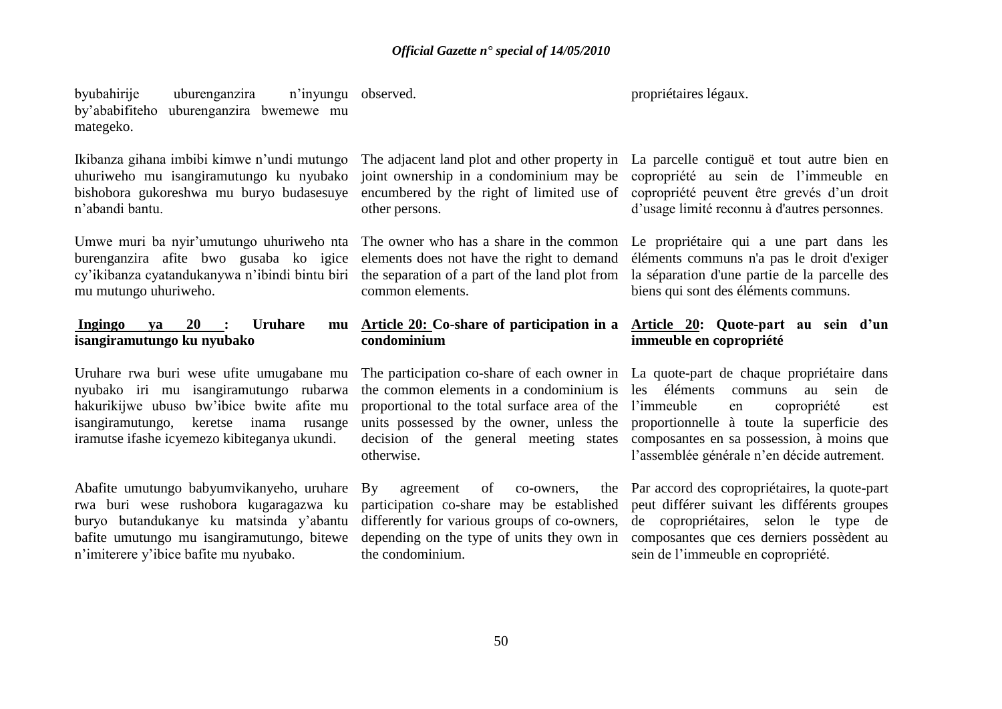byubahirije uburenganzira by'ababifiteho uburenganzira bwemewe mu mategeko. n'invungu observed.

Ikibanza gihana imbibi kimwe n'undi mutungo uhuriweho mu isangiramutungo ku nyubako bishobora gukoreshwa mu buryo budasesuye n'abandi bantu.

Umwe muri ba nyir'umutungo uhuriweho nta burenganzira afite bwo gusaba ko igice cy'ikibanza cyatandukanywa n'ibindi bintu biri the separation of a part of the land plot from la séparation d'une partie de la parcelle des mu mutungo uhuriweho.

### **Ingingo ya 20 : Uruhare mu isangiramutungo ku nyubako**

Uruhare rwa buri wese ufite umugabane mu nyubako iri mu isangiramutungo rubarwa hakurikijwe ubuso bw'ibice bwite afite mu isangiramutungo, keretse inama rusange iramutse ifashe icyemezo kibiteganya ukundi.

Abafite umutungo babyumvikanyeho, uruhare rwa buri wese rushobora kugaragazwa ku buryo butandukanye ku matsinda y'abantu bafite umutungo mu isangiramutungo, bitewe n'imiterere y'ibice bafite mu nyubako.

joint ownership in a condominium may be encumbered by the right of limited use of other persons.

The owner who has a share in the common elements does not have the right to demand common elements.

## **condominium**

the common elements in a condominium is proportional to the total surface area of the units possessed by the owner, unless the decision of the general meeting states otherwise.

By agreement of co-owners, the participation co-share may be established differently for various groups of co-owners, the condominium.

propriétaires légaux.

The adjacent land plot and other property in La parcelle contiguë et tout autre bien en copropriété au sein de l'immeuble en copropriété peuvent être grevés d'un droit d'usage limité reconnu à d'autres personnes.

> Le propriétaire qui a une part dans les éléments communs n'a pas le droit d'exiger biens qui sont des éléments communs.

### **Article 20: Co-share of participation in a Article 20: Quote-part au sein d'un immeuble en copropriété**

The participation co-share of each owner in La quote-part de chaque propriétaire dans communs au sein de l'immeuble en copropriété est proportionnelle à toute la superficie des composantes en sa possession, à moins que l'assemblée générale n'en décide autrement.

depending on the type of units they own in composantes que ces derniers possèdent au Par accord des copropriétaires, la quote-part peut différer suivant les différents groupes de copropriétaires, selon le type de sein de l'immeuble en copropriété.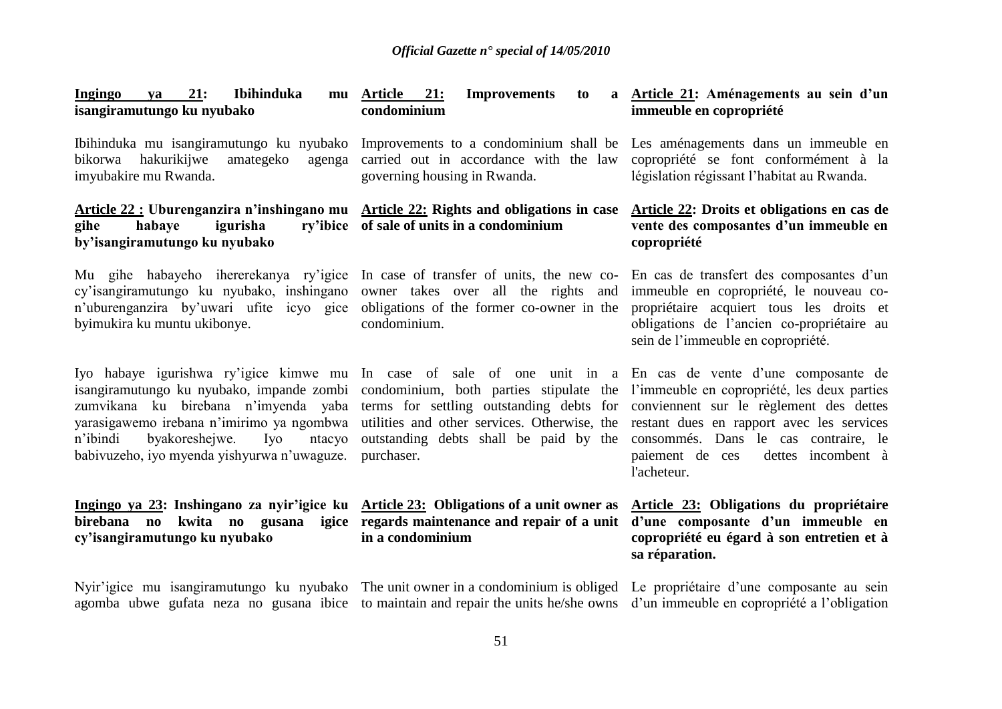| <b>Ingingo</b><br>21:<br>Ibihinduka<br><b>va</b><br>mu<br>isangiramutungo ku nyubako                                                                                                                                                                                                                                                        | <b>Article</b><br>21:<br><b>Improvements</b><br>to<br>condominium                                                                                                                           | a Article 21: Aménagements au sein d'un<br>immeuble en copropriété                                                                                                                                                                  |
|---------------------------------------------------------------------------------------------------------------------------------------------------------------------------------------------------------------------------------------------------------------------------------------------------------------------------------------------|---------------------------------------------------------------------------------------------------------------------------------------------------------------------------------------------|-------------------------------------------------------------------------------------------------------------------------------------------------------------------------------------------------------------------------------------|
| Ibihinduka mu isangiramutungo ku nyubako<br>hakurikijwe<br>amategeko<br>bikorwa<br>agenga<br>imyubakire mu Rwanda.                                                                                                                                                                                                                          | Improvements to a condominium shall be<br>carried out in accordance with the law<br>governing housing in Rwanda.                                                                            | Les aménagements dans un immeuble en<br>copropriété se font conformément à la<br>législation régissant l'habitat au Rwanda.                                                                                                         |
| Article 22 : Uburenganzira n'inshingano mu Article 22: Rights and obligations in case<br>igurisha<br>gihe<br>habaye<br>by'isangiramutungo ku nyubako                                                                                                                                                                                        | ry'ibice of sale of units in a condominium                                                                                                                                                  | Article 22: Droits et obligations en cas de<br>vente des composantes d'un immeuble en<br>copropriété                                                                                                                                |
| Mu gihe habayeho ihererekanya ry'igice<br>cy'isangiramutungo ku nyubako, inshingano<br>n'uburenganzira by'uwari ufite icyo gice<br>byimukira ku muntu ukibonye.                                                                                                                                                                             | In case of transfer of units, the new co-<br>owner takes over all the rights and<br>obligations of the former co-owner in the<br>condominium.                                               | En cas de transfert des composantes d'un<br>immeuble en copropriété, le nouveau co-<br>propriétaire acquiert tous les droits et<br>obligations de l'ancien co-propriétaire au<br>sein de l'immeuble en copropriété.                 |
| Iyo habaye igurishwa ry'igice kimwe mu In case of sale of one unit in a En cas de vente d'une composante de<br>isangiramutungo ku nyubako, impande zombi<br>zumvikana ku birebana n'imyenda yaba<br>yarasigawemo irebana n'imirimo ya ngombwa<br>byakoreshejwe.<br>n'ibindi<br>Iyo<br>ntacyo<br>babivuzeho, iyo myenda yishyurwa n'uwaguze. | condominium, both parties stipulate the<br>terms for settling outstanding debts for<br>utilities and other services. Otherwise, the<br>outstanding debts shall be paid by the<br>purchaser. | l'immeuble en copropriété, les deux parties<br>conviennent sur le règlement des dettes<br>restant dues en rapport avec les services<br>consommés. Dans le cas contraire, le<br>paiement de ces<br>dettes incombent à<br>l'acheteur. |
| Ingingo ya 23: Inshingano za nyir'igice ku<br>kwita no gusana<br>birebana no<br>igice<br>cy'isangiramutungo ku nyubako                                                                                                                                                                                                                      | <b>Article 23:</b> Obligations of a unit owner as<br>regards maintenance and repair of a unit<br>in a condominium                                                                           | Article 23: Obligations du propriétaire<br>d'une composante d'un immeuble en<br>copropriété eu égard à son entretien et à<br>sa réparation.                                                                                         |
| Nyir'igice mu isangiramutungo ku nyubako The unit owner in a condominium is obliged<br>agomba ubwe gufata neza no gusana ibice to maintain and repair the units he/she owns                                                                                                                                                                 |                                                                                                                                                                                             | Le propriétaire d'une composante au sein<br>d'un immeuble en copropriété a l'obligation                                                                                                                                             |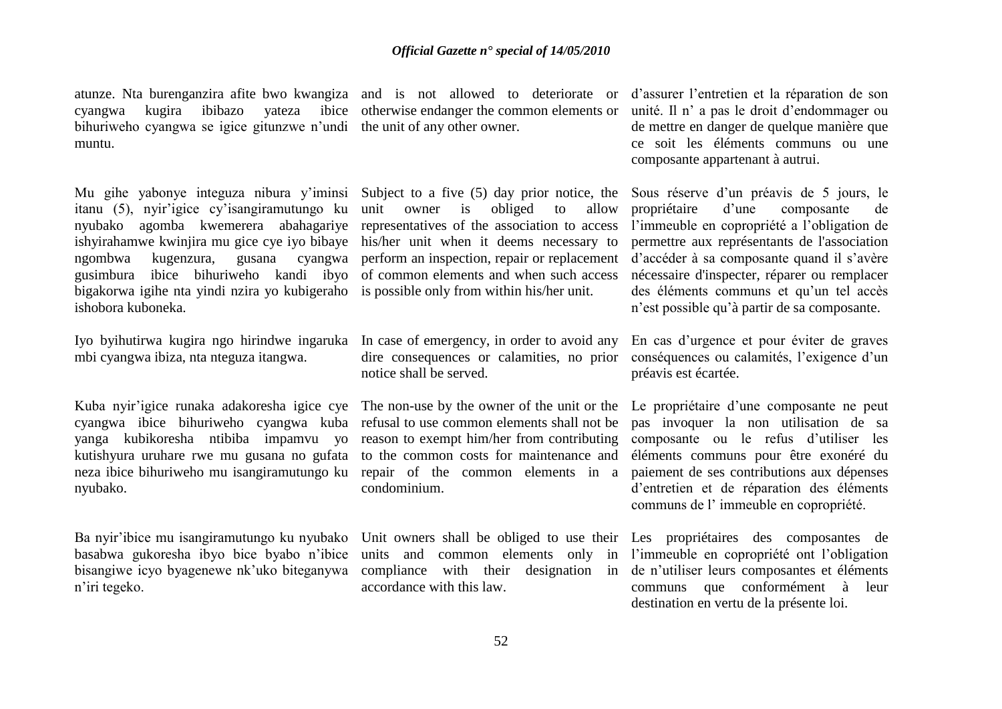atunze. Nta burenganzira afite bwo kwangiza and is not allowed to deteriorate or d'assurer l'entretien et la réparation de son cyangwa kugira ibibazo yateza ibice otherwise endanger the common elements or unité. Il n' a pas le droit d'endommager ou bihuriweho cyangwa se igice gitunzwe n'undi the unit of any other owner. muntu.

Mu gihe yabonye integuza nibura y'iminsi itanu (5), nyir'igice cy'isangiramutungo ku nyubako agomba kwemerera abahagariye ishyirahamwe kwinjira mu gice cye iyo bibaye ngombwa kugenzura, gusana cyangwa gusimbura ibice bihuriweho kandi ibyo bigakorwa igihe nta yindi nzira yo kubigeraho ishobora kuboneka.

Iyo byihutirwa kugira ngo hirindwe ingaruka mbi cyangwa ibiza, nta nteguza itangwa.

Kuba nyir'igice runaka adakoresha igice cye cyangwa ibice bihuriweho cyangwa kuba yanga kubikoresha ntibiba impamvu yo kutishyura uruhare rwe mu gusana no gufata neza ibice bihuriweho mu isangiramutungo ku nyubako.

Ba nyir'ibice mu isangiramutungo ku nyubako basabwa gukoresha ibyo bice byabo n'ibice bisangiwe icyo byagenewe nk'uko biteganywa n'iri tegeko.

Subject to a five (5) day prior notice, the unit owner is obliged to allow representatives of the association to access his/her unit when it deems necessary to of common elements and when such access is possible only from within his/her unit.

In case of emergency, in order to avoid any notice shall be served.

to the common costs for maintenance and condominium.

accordance with this law.

de mettre en danger de quelque manière que ce soit les éléments communs ou une composante appartenant à autrui.

perform an inspection, repair or replacement d'accéder à sa composante quand il s'avère Sous réserve d'un préavis de 5 jours, le propriétaire d'une composante de l'immeuble en copropriété a l'obligation de permettre aux représentants de l'association nécessaire d'inspecter, réparer ou remplacer des éléments communs et qu'un tel accès n'est possible qu'à partir de sa composante.

dire consequences or calamities, no prior conséquences ou calamités, l'exigence d'un En cas d'urgence et pour éviter de graves préavis est écartée.

The non-use by the owner of the unit or the Le propriétaire d'une composante ne peut refusal to use common elements shall not be pas invoquer la non utilisation de sa reason to exempt him/her from contributing composante ou le refus d'utiliser les repair of the common elements in a paiement de ses contributions aux dépenses éléments communs pour être exonéré du d'entretien et de réparation des éléments communs de l' immeuble en copropriété.

Unit owners shall be obliged to use their Les propriétaires des composantes de units and common elements only in l'immeuble en copropriété ont l'obligation compliance with their designation in de n'utiliser leurs composantes et éléments communs que conformément à leur destination en vertu de la présente loi.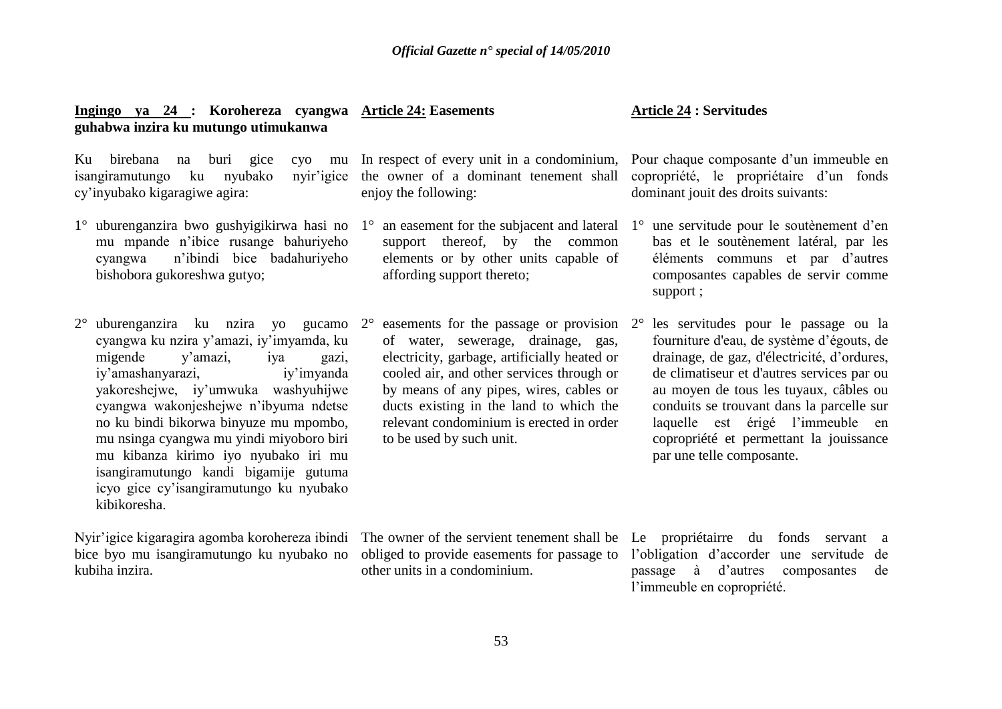### **Ingingo ya 24 : Korohereza cyangwa Article 24: Easements guhabwa inzira ku mutungo utimukanwa**

isangiramutungo ku nyubako cy'inyubako kigaragiwe agira:

- 1° uburenganzira bwo gushyigikirwa hasi no mu mpande n'ibice rusange bahuriyeho cyangwa n'ibindi bice badahuriyeho bishobora gukoreshwa gutyo;
- 2° uburenganzira ku nzira yo gucamo cyangwa ku nzira y'amazi, iy'imyamda, ku migende y'amazi, iya gazi, iy'amashanyarazi, iy'imyanda yakoreshejwe, iy'umwuka washyuhijwe cyangwa wakonjeshejwe n'ibyuma ndetse no ku bindi bikorwa binyuze mu mpombo, mu nsinga cyangwa mu yindi miyoboro biri mu kibanza kirimo iyo nyubako iri mu isangiramutungo kandi bigamije gutuma icyo gice cy'isangiramutungo ku nyubako kibikoresha.

Nyir'igice kigaragira agomba korohereza ibindi bice byo mu isangiramutungo ku nyubako no kubiha inzira.

enjoy the following:

- $1^\circ$  an easement for the subjacent and lateral  $1^\circ$ support thereof, by the common elements or by other units capable of affording support thereto;
- $2^{\circ}$  easements for the passage or provision  $2^{\circ}$ of water, sewerage, drainage, gas, electricity, garbage, artificially heated or cooled air, and other services through or by means of any pipes, wires, cables or ducts existing in the land to which the relevant condominium is erected in order to be used by such unit.

### **Article 24 : Servitudes**

Ku birebana na buri gice cyo mu In respect of every unit in a condominium, Pour chaque composante d'un immeuble en the owner of a dominant tenement shall copropriété, le propriétaire d'un fonds dominant jouit des droits suivants:

- 1° une servitude pour le soutènement d'en bas et le soutènement latéral, par les éléments communs et par d'autres composantes capables de servir comme support ;
- 2° les servitudes pour le passage ou la fourniture d'eau, de système d'égouts, de drainage, de gaz, d'électricité, d'ordures, de climatiseur et d'autres services par ou au moyen de tous les tuyaux, câbles ou conduits se trouvant dans la parcelle sur laquelle est érigé l'immeuble en copropriété et permettant la jouissance par une telle composante.

The owner of the servient tenement shall be Le propriétairre du fonds servant a other units in a condominium.

obliged to provide easements for passage to l'obligation d'accorder une servitude de passage à d'autres composantes de l'immeuble en copropriété.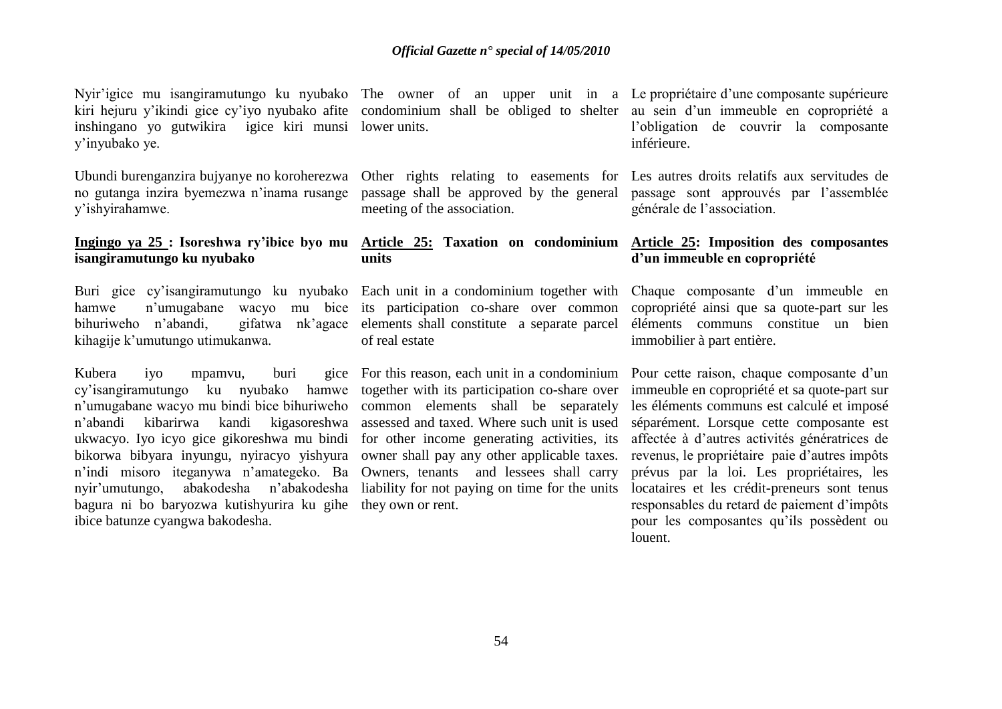Nyir'igice mu isangiramutungo ku nyubako The owner of an upper unit in a Le propriétaire d'une composante supérieure kiri hejuru y'ikindi gice cy'iyo nyubako afite condominium shall be obliged to shelter au sein d'un immeuble en copropriété a inshingano yo gutwikira igice kiri munsi lower units. y'inyubako ye.

Ubundi burenganzira bujyanye no koroherezwa no gutanga inzira byemezwa n'inama rusange y'ishyirahamwe.

### **Ingingo ya 25 : Isoreshwa ry'ibice byo mu isangiramutungo ku nyubako**

Buri gice cy'isangiramutungo ku nyubako hamwe n'umugabane wacyo mu bice bihuriweho n'abandi, gifatwa nk'agace kihagije k'umutungo utimukanwa.

Kubera iyo mpamvu, buri cy'isangiramutungo ku nyubako hamwe n'umugabane wacyo mu bindi bice bihuriweho n'abandi kibarirwa kandi kigasoreshwa ukwacyo. Iyo icyo gice gikoreshwa mu bindi bikorwa bibyara inyungu, nyiracyo yishyura n'indi misoro iteganywa n'amategeko. Ba nyir'umutungo, abakodesha n'abakodesha bagura ni bo baryozwa kutishyurira ku gihe they own or rent. ibice batunze cyangwa bakodesha.

meeting of the association.

### **units**

its participation co-share over common elements shall constitute a separate parcel of real estate

For this reason, each unit in a condominium Pour cette raison, chaque composante d'un together with its participation co-share over common elements shall be separately assessed and taxed. Where such unit is used for other income generating activities, its owner shall pay any other applicable taxes. Owners, tenants and lessees shall carry liability for not paying on time for the units

l'obligation de couvrir la composante inférieure.

Other rights relating to easements for Les autres droits relatifs aux servitudes de passage shall be approved by the general passage sont approuvés par l'assemblée générale de l'association.

### **Article 25: Taxation on condominium Article 25: Imposition des composantes d'un immeuble en copropriété**

Each unit in a condominium together with Chaque composante d'un immeuble en copropriété ainsi que sa quote-part sur les éléments communs constitue un bien immobilier à part entière.

> immeuble en copropriété et sa quote-part sur les éléments communs est calculé et imposé séparément. Lorsque cette composante est affectée à d'autres activités génératrices de revenus, le propriétaire paie d'autres impôts prévus par la loi. Les propriétaires, les locataires et les crédit-preneurs sont tenus responsables du retard de paiement d'impôts pour les composantes qu'ils possèdent ou louent.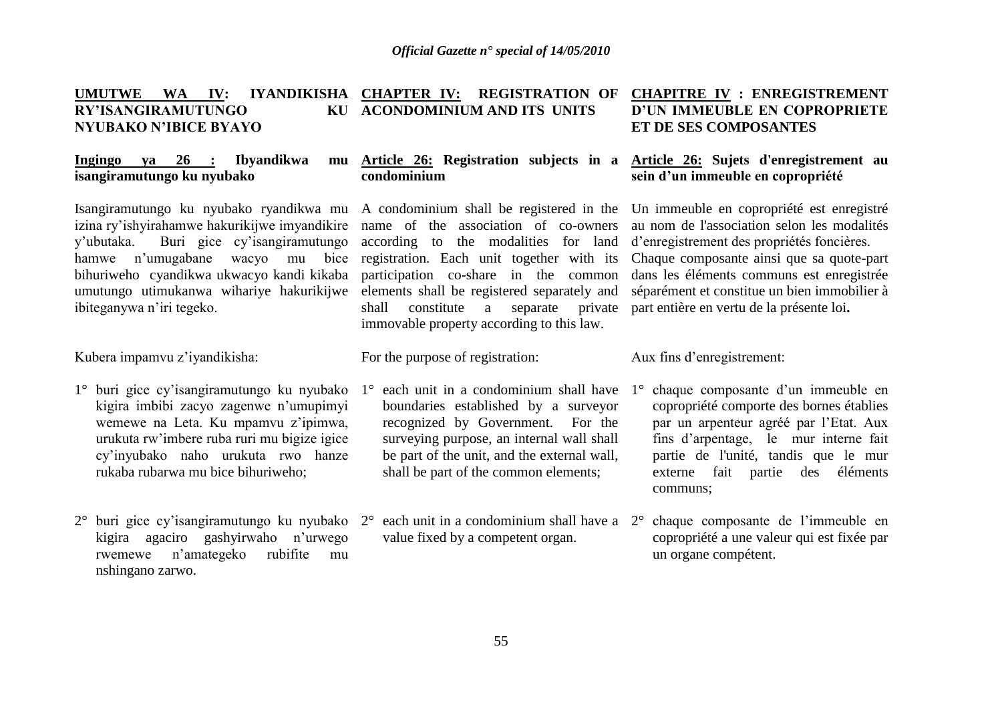#### **UMUTWE WA IV: IYANDIKISHA CHAPTER IV: REGISTRATION OF CHAPITRE IV : ENREGISTREMENT RY'ISANGIRAMUTUNGO NYUBAKO N'IBICE BYAYO ACONDOMINIUM AND ITS UNITS ET DE SES COMPOSANTES**

### **Ingingo** va 26 : **Ibyandikwa isangiramutungo ku nyubako**

Isangiramutungo ku nyubako ryandikwa mu A condominium shall be registered in the Un immeuble en copropriété est enregistré izina ry'ishyirahamwe hakurikijwe imyandikire name of the association of co-owners au nom de l'association selon les modalités y'ubutaka. Buri gice cy'isangiramutungo hamwe n'umugabane wacyo mu bice bihuriweho cyandikwa ukwacyo kandi kikaba umutungo utimukanwa wihariye hakurikijwe ibiteganywa n'iri tegeko.

Kubera impamvu z'iyandikisha:

- 1° buri gice cy'isangiramutungo ku nyubako kigira imbibi zacyo zagenwe n'umupimyi wemewe na Leta. Ku mpamvu z'ipimwa, urukuta rw'imbere ruba ruri mu bigize igice cy'inyubako naho urukuta rwo hanze rukaba rubarwa mu bice bihuriweho;
- 2° buri gice cy'isangiramutungo ku nyubako 2° each unit in a condominium shall have a kigira agaciro gashyirwaho n'urwego rwemewe n'amategeko rubifite mu nshingano zarwo.

## **condominium**

according to the modalities for land d'enregistrement des propriétés foncières. participation co-share in the common elements shall be registered separately and shall constitute a separate private part entière en vertu de la présente loi**.** immovable property according to this law.

For the purpose of registration:

- $1^\circ$  each unit in a condominium shall have  $1^\circ$ boundaries established by a surveyor recognized by Government. For the surveying purpose, an internal wall shall be part of the unit, and the external wall, shall be part of the common elements;
- value fixed by a competent organ.

# **D'UN IMMEUBLE EN COPROPRIETE**

### **Article 26: Registration subjects in a Article 26: Sujets d'enregistrement au sein d'un immeuble en copropriété**

registration. Each unit together with its Chaque composante ainsi que sa quote-part dans les éléments communs est enregistrée séparément et constitue un bien immobilier à

### Aux fins d'enregistrement:

- 1° chaque composante d'un immeuble en copropriété comporte des bornes établies par un arpenteur agréé par l'Etat. Aux fins d'arpentage, le mur interne fait partie de l'unité, tandis que le mur externe fait partie des éléments communs;
- 2° chaque composante de l'immeuble en copropriété a une valeur qui est fixée par un organe compétent.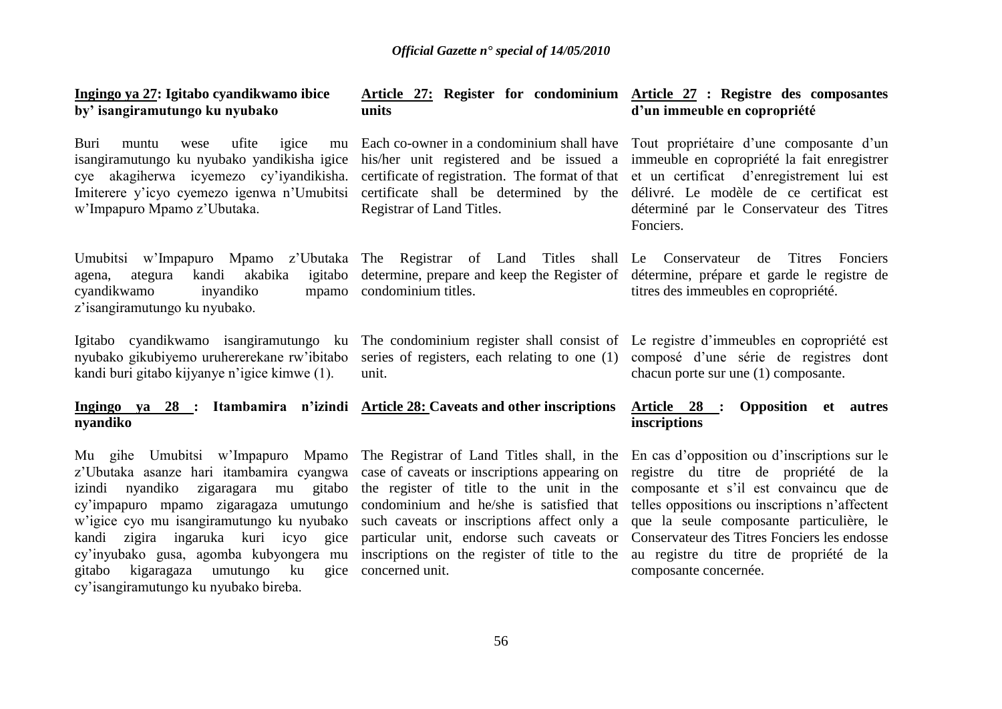### **Ingingo ya 27: Igitabo cyandikwamo ibice by' isangiramutungo ku nyubako**

Buri muntu wese ufite igice mu isangiramutungo ku nyubako yandikisha igice his/her unit registered and be issued a immeuble en copropriété la fait enregistrer cye akagiherwa icyemezo cy'iyandikisha. certificate of registration. The format of that et un certificat d'enregistrement lui est Imiterere y'icyo cyemezo igenwa n'Umubitsi certificate shall be determined by the délivré. Le modèle de ce certificat est w'Impapuro Mpamo z'Ubutaka.

agena, ategura kandi akabika igitabo cyandikwamo inyandiko z'isangiramutungo ku nyubako.

Igitabo cyandikwamo isangiramutungo ku The condominium register shall consist of Le registre d'immeubles en copropriété est nyubako gikubiyemo uruhererekane rw'ibitabo kandi buri gitabo kijyanye n'igice kimwe (1).

**Ingingo ya 28 : Itambamira n'izindi Article 28: Caveats and other inscriptions Article 28 : Opposition et autres nyandiko**

Mu gihe Umubitsi w'Impapuro Mpamo z'Ubutaka asanze hari itambamira cyangwa izindi nyandiko zigaragara mu gitabo cy'impapuro mpamo zigaragaza umutungo w'igice cyo mu isangiramutungo ku nyubako kandi zigira ingaruka kuri icyo gice cy'inyubako gusa, agomba kubyongera mu gitabo kigaragaza umutungo ku gice cy'isangiramutungo ku nyubako bireba.

#### **Article 27: Register for condominium Article 27 : Registre des composantes units d'un immeuble en copropriété**

Registrar of Land Titles.

mpamo condominium titles.

unit.

gice concerned unit.

Each co-owner in a condominium shall have Tout propriétaire d'une composante d'un déterminé par le Conservateur des Titres Fonciers.

Umubitsi w'Impapuro Mpamo z'Ubutaka The Registrar of Land Titles shall Le Conservateur de Titres Fonciers determine, prepare and keep the Register of détermine, prépare et garde le registre de titres des immeubles en copropriété.

> series of registers, each relating to one (1) composé d'une série de registres dont chacun porte sur une (1) composante.

### **inscriptions**

The Registrar of Land Titles shall, in the En cas d'opposition ou d'inscriptions sur le case of caveats or inscriptions appearing on registre du titre de propriété de la the register of title to the unit in the composante et s'il est convaincu que de condominium and he/she is satisfied that telles oppositions ou inscriptions n'affectent such caveats or inscriptions affect only a que la seule composante particulière, le particular unit, endorse such caveats or Conservateur des Titres Fonciers les endosse inscriptions on the register of title to the au registre du titre de propriété de la composante concernée.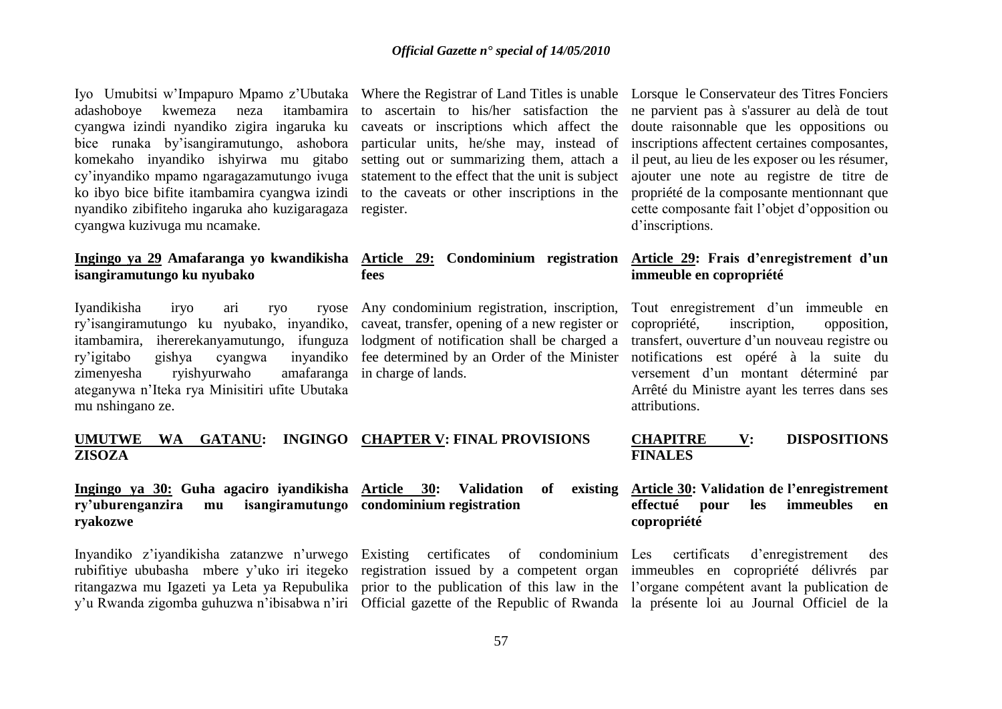Iyo Umubitsi w'Impapuro Mpamo z'Ubutaka Where the Registrar of Land Titles is unable Lorsque le Conservateur des Titres Fonciers adashoboye kwemeza neza itambamira cyangwa izindi nyandiko zigira ingaruka ku bice runaka by'isangiramutungo, ashobora komekaho inyandiko ishyirwa mu gitabo cy'inyandiko mpamo ngaragazamutungo ivuga ko ibyo bice bifite itambamira cyangwa izindi nyandiko zibifiteho ingaruka aho kuzigaragaza cyangwa kuzivuga mu ncamake.

## **isangiramutungo ku nyubako**

Iyandikisha iryo ari ryo ryose ry'isangiramutungo ku nyubako, inyandiko, caveat, transfer, opening of a new register or itambamira, ihererekanyamutungo, ifunguza lodgment of notification shall be charged a ry'igitabo gishya cyangwa inyandiko zimenyesha ryishyurwaho amafaranga ateganywa n'Iteka rya Minisitiri ufite Ubutaka mu nshingano ze.

statement to the effect that the unit is subject to the caveats or other inscriptions in the register.

### **fees**

Any condominium registration, inscription, fee determined by an Order of the Minister notifications est opéré à la suite du in charge of lands.

to ascertain to his/her satisfaction the ne parvient pas à s'assurer au delà de tout caveats or inscriptions which affect the doute raisonnable que les oppositions ou particular units, he/she may, instead of inscriptions affectent certaines composantes, setting out or summarizing them, attach a il peut, au lieu de les exposer ou les résumer, ajouter une note au registre de titre de propriété de la composante mentionnant que cette composante fait l'objet d'opposition ou d'inscriptions.

### **Ingingo ya 29 Amafaranga yo kwandikisha Article 29: Condominium registration Article 29: Frais d'enregistrement d'un immeuble en copropriété**

Tout enregistrement d'un immeuble en copropriété, inscription, opposition, transfert, ouverture d'un nouveau registre ou versement d'un montant déterminé par Arrêté du Ministre ayant les terres dans ses attributions.

|               |  | UMUTWE WA GATANU: INGINGO CHAPTER V: FINAL PROVISIONS | <b>CHAPITRE</b> | <b>DISPOSITIONS</b> |
|---------------|--|-------------------------------------------------------|-----------------|---------------------|
| <b>ZISOZA</b> |  |                                                       | <b>FINALES</b>  |                     |

### **Ingingo ya 30: Guha agaciro iyandikisha Article 30: Validation of existing ry'uburenganzira mu isangiramutungo condominium registration ryakozwe**

Inyandiko z'iyandikisha zatanzwe n'urwego rubifitiye ububasha mbere y'uko iri itegeko registration issued by a competent organ immeubles en copropriété délivrés par ritangazwa mu Igazeti ya Leta ya Repubulika prior to the publication of this law in the l'organe compétent avant la publication de y'u Rwanda zigomba guhuzwa n'ibisabwa n'iri Official gazette of the Republic of Rwanda la présente loi au Journal Officiel de la

Existing certificates of condominium Les certificats

### **Article 30: Validation de l'enregistrement effectué pour les immeubles en copropriété**

d'enregistrement des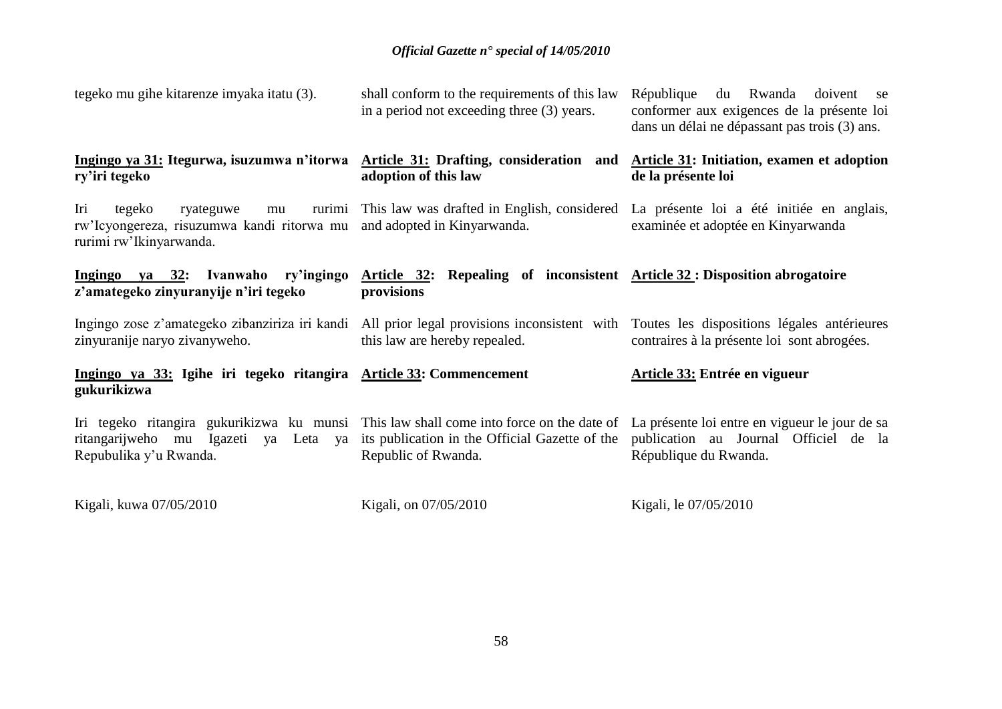| tegeko mu gihe kitarenze imyaka itatu (3).                                                                                                                                                              | shall conform to the requirements of this law<br>in a period not exceeding three (3) years. | République du Rwanda<br>doivent se<br>conformer aux exigences de la présente loi<br>dans un délai ne dépassant pas trois (3) ans.  |  |  |  |
|---------------------------------------------------------------------------------------------------------------------------------------------------------------------------------------------------------|---------------------------------------------------------------------------------------------|------------------------------------------------------------------------------------------------------------------------------------|--|--|--|
| Ingingo ya 31: Itegurwa, isuzumwa n'itorwa Article 31: Drafting, consideration and<br>ry'iri tegeko                                                                                                     | adoption of this law                                                                        | Article 31: Initiation, examen et adoption<br>de la présente loi                                                                   |  |  |  |
| Iri<br>tegeko<br>ryateguwe<br>mu<br>rw'Icyongereza, risuzumwa kandi ritorwa mu<br>rurimi rw'Ikinyarwanda.                                                                                               | and adopted in Kinyarwanda.                                                                 | rurimi This law was drafted in English, considered La présente loi a été initiée en anglais,<br>examinée et adoptée en Kinyarwanda |  |  |  |
| Ingingo ya 32: Ivanwaho ry'ingingo<br>z'amategeko zinyuranyije n'iri tegeko                                                                                                                             | Article 32: Repealing of inconsistent Article 32: Disposition abrogatoire<br>provisions     |                                                                                                                                    |  |  |  |
| Ingingo zose z'amategeko zibanziriza iri kandi<br>zinyuranije naryo zivanyweho.                                                                                                                         | All prior legal provisions inconsistent with<br>this law are hereby repealed.               | Toutes les dispositions légales antérieures<br>contraires à la présente loi sont abrogées.                                         |  |  |  |
| Ingingo ya 33: Igihe iri tegeko ritangira Article 33: Commencement<br>gukurikizwa                                                                                                                       |                                                                                             | Article 33: Entrée en vigueur                                                                                                      |  |  |  |
| Iri tegeko ritangira gukurikizwa ku munsi Thislaw shall come into force on the date of La présente loi entre en vigueur le jour de sa<br>ritangarijweho mu Igazeti ya Leta ya<br>Repubulika y'u Rwanda. | its publication in the Official Gazette of the<br>Republic of Rwanda.                       | publication au Journal Officiel de la<br>République du Rwanda.                                                                     |  |  |  |
| Kigali, kuwa 07/05/2010                                                                                                                                                                                 | Kigali, on 07/05/2010                                                                       | Kigali, le 07/05/2010                                                                                                              |  |  |  |